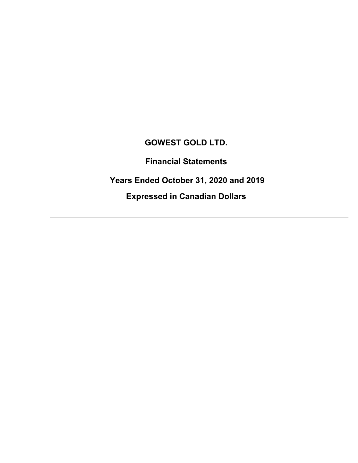## **GOWEST GOLD LTD.**

**Financial Statements** 

 **Years Ended October 31, 2020 and 2019** 

**Expressed in Canadian Dollars**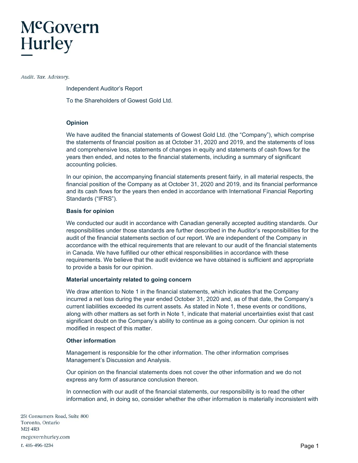# McGovern **Hurley**

Audit. Tax. Advisory.

Independent Auditor's Report

To the Shareholders of Gowest Gold Ltd.

## **Opinion**

We have audited the financial statements of Gowest Gold Ltd. (the "Company"), which comprise the statements of financial position as at October 31, 2020 and 2019, and the statements of loss and comprehensive loss, statements of changes in equity and statements of cash flows for the years then ended, and notes to the financial statements, including a summary of significant accounting policies.

In our opinion, the accompanying financial statements present fairly, in all material respects, the financial position of the Company as at October 31, 2020 and 2019, and its financial performance and its cash flows for the years then ended in accordance with International Financial Reporting Standards ("IFRS").

## **Basis for opinion**

We conducted our audit in accordance with Canadian generally accepted auditing standards. Our responsibilities under those standards are further described in the Auditor's responsibilities for the audit of the financial statements section of our report. We are independent of the Company in accordance with the ethical requirements that are relevant to our audit of the financial statements in Canada. We have fulfilled our other ethical responsibilities in accordance with these requirements. We believe that the audit evidence we have obtained is sufficient and appropriate to provide a basis for our opinion.

## **Material uncertainty related to going concern**

We draw attention to Note 1 in the financial statements, which indicates that the Company incurred a net loss during the year ended October 31, 2020 and, as of that date, the Company's current liabilities exceeded its current assets. As stated in Note 1, these events or conditions, along with other matters as set forth in Note 1, indicate that material uncertainties exist that cast significant doubt on the Company's ability to continue as a going concern. Our opinion is not modified in respect of this matter.

## **Other information**

Management is responsible for the other information. The other information comprises Management's Discussion and Analysis.

Our opinion on the financial statements does not cover the other information and we do not express any form of assurance conclusion thereon.

In connection with our audit of the financial statements, our responsibility is to read the other information and, in doing so, consider whether the other information is materially inconsistent with

251 Consumers Road, Suite 800 Toronto, Ontario M2J 4R3 mcgovernhurley.com t. 416-496-1234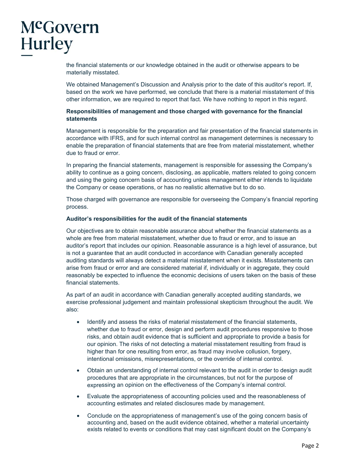# McGovern Hurley

the financial statements or our knowledge obtained in the audit or otherwise appears to be materially misstated.

We obtained Management's Discussion and Analysis prior to the date of this auditor's report. If, based on the work we have performed, we conclude that there is a material misstatement of this other information, we are required to report that fact. We have nothing to report in this regard.

## **Responsibilities of management and those charged with governance for the financial statements**

Management is responsible for the preparation and fair presentation of the financial statements in accordance with IFRS, and for such internal control as management determines is necessary to enable the preparation of financial statements that are free from material misstatement, whether due to fraud or error.

In preparing the financial statements, management is responsible for assessing the Company's ability to continue as a going concern, disclosing, as applicable, matters related to going concern and using the going concern basis of accounting unless management either intends to liquidate the Company or cease operations, or has no realistic alternative but to do so.

Those charged with governance are responsible for overseeing the Company's financial reporting process.

## **Auditor's responsibilities for the audit of the financial statements**

Our objectives are to obtain reasonable assurance about whether the financial statements as a whole are free from material misstatement, whether due to fraud or error, and to issue an auditor's report that includes our opinion. Reasonable assurance is a high level of assurance, but is not a guarantee that an audit conducted in accordance with Canadian generally accepted auditing standards will always detect a material misstatement when it exists. Misstatements can arise from fraud or error and are considered material if, individually or in aggregate, they could reasonably be expected to influence the economic decisions of users taken on the basis of these financial statements.

As part of an audit in accordance with Canadian generally accepted auditing standards, we exercise professional judgement and maintain professional skepticism throughout the audit. We also:

- Identify and assess the risks of material misstatement of the financial statements, whether due to fraud or error, design and perform audit procedures responsive to those risks, and obtain audit evidence that is sufficient and appropriate to provide a basis for our opinion. The risks of not detecting a material misstatement resulting from fraud is higher than for one resulting from error, as fraud may involve collusion, forgery, intentional omissions, misrepresentations, or the override of internal control.
- Obtain an understanding of internal control relevant to the audit in order to design audit procedures that are appropriate in the circumstances, but not for the purpose of expressing an opinion on the effectiveness of the Company's internal control.
- Evaluate the appropriateness of accounting policies used and the reasonableness of accounting estimates and related disclosures made by management.
- Conclude on the appropriateness of management's use of the going concern basis of accounting and, based on the audit evidence obtained, whether a material uncertainty exists related to events or conditions that may cast significant doubt on the Company's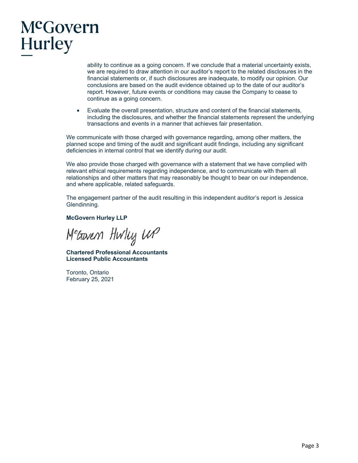# McGovern **Hurley**

ability to continue as a going concern. If we conclude that a material uncertainty exists, we are required to draw attention in our auditor's report to the related disclosures in the financial statements or, if such disclosures are inadequate, to modify our opinion. Our conclusions are based on the audit evidence obtained up to the date of our auditor's report. However, future events or conditions may cause the Company to cease to continue as a going concern.

• Evaluate the overall presentation, structure and content of the financial statements, including the disclosures, and whether the financial statements represent the underlying transactions and events in a manner that achieves fair presentation.

We communicate with those charged with governance regarding, among other matters, the planned scope and timing of the audit and significant audit findings, including any significant deficiencies in internal control that we identify during our audit.

We also provide those charged with governance with a statement that we have complied with relevant ethical requirements regarding independence, and to communicate with them all relationships and other matters that may reasonably be thought to bear on our independence, and where applicable, related safeguards.

The engagement partner of the audit resulting in this independent auditor's report is Jessica Glendinning.

**McGovern Hurley LLP** 

Meaven Hwlug WP

**Chartered Professional Accountants Licensed Public Accountants** 

Toronto, Ontario February 25, 2021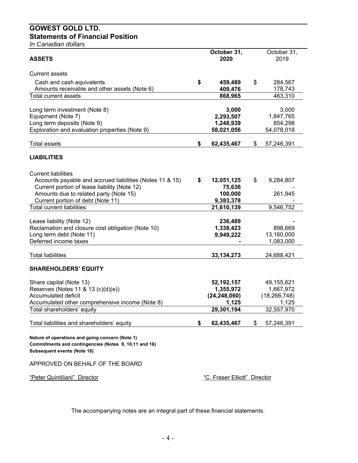## **GOWEST GOLD LTD. Statements of Financial Position**

*In Canadian dollars* 

| <b>ASSETS</b>                                            | October 31,<br>2020          | October 31,<br>2019 |
|----------------------------------------------------------|------------------------------|---------------------|
|                                                          |                              |                     |
| <b>Current assets</b>                                    |                              |                     |
| Cash and cash equivalents                                | \$<br>459,489                | \$<br>284,567       |
| Amounts receivable and other assets (Note 6)             | 409,476                      | 178,743             |
| <b>Total current assets</b>                              | 868,965                      | 463,310             |
| Long term investment (Note 8)                            | 3,000                        | 3,000               |
| Equipment (Note 7)                                       | 2,293,507                    | 1,847,765           |
| Long term deposits (Note 9)                              | 1,248,939                    | 854,298             |
| Exploration and evaluation properties (Note 9)           | 58,021,056                   | 54,078,018          |
|                                                          |                              |                     |
| Total assets                                             | \$<br>62,435,467             | \$<br>57,246,391    |
| <b>LIABILITIES</b>                                       |                              |                     |
| <b>Current liabilities</b>                               |                              |                     |
| Accounts payable and accrued liabilities (Notes 11 & 15) | \$<br>12,051,125             | \$<br>9,284,807     |
| Current portion of lease liability (Note 12)             | 75,636                       |                     |
| Amounts due to related party (Note 15)                   | 100,000                      | 261,945             |
| Current portion of debt (Note 11)                        | 9,383,378                    |                     |
| <b>Total current liabilities</b>                         | 21,610,139                   | 9,546,752           |
|                                                          |                              |                     |
| Lease liability (Note 12)                                | 236,489                      |                     |
| Reclamation and closure cost obligation (Note 10)        | 1,338,423                    | 898,669             |
| Long term debt (Note 11)                                 | 9,949,222                    | 13,160,000          |
| Deferred income taxes                                    |                              | 1,083,000           |
| <b>Total liabilities</b>                                 | 33, 134, 273                 | 24,688,421          |
| <b>SHAREHOLDERS' EQUITY</b>                              |                              |                     |
|                                                          |                              |                     |
| Share capital (Note 13)                                  | 52, 192, 157                 | 49,155,621          |
| Reserves (Notes 11 & 13 (c)(d)(e))                       | 1,355,972                    | 1,667,972           |
| Accumulated deficit                                      | (24, 248, 060)               | (18, 266, 748)      |
| Accumulated other comprehensive income (Note 8)          | 1,125                        | 1,125               |
| Total shareholders' equity                               | 29,301,194                   | 32,557,970          |
| Total liabilities and shareholders' equity               | \$<br>62,435,467             | \$<br>57,246,391    |
|                                                          |                              |                     |
| Nature of operations and going concern (Note 1)          |                              |                     |
| Commitments and contingencies (Notes 9, 10,11 and 16)    |                              |                     |
| <b>Subsequent events (Note 18)</b>                       |                              |                     |
| APPROVED ON BEHALF OF THE BOARD                          |                              |                     |
| "Peter Quintiliani" Director                             | "C. Fraser Elliott" Director |                     |

The accompanying notes are an integral part of these financial statements.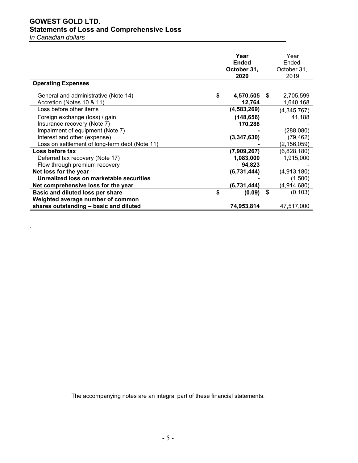## **GOWEST GOLD LTD. Statements of Loss and Comprehensive Loss**

*In Canadian dollars* 

.

|                                                                   | Year<br><b>Ended</b><br>October 31,<br>2020 |    | Year<br>Ended<br>October 31,<br>2019 |
|-------------------------------------------------------------------|---------------------------------------------|----|--------------------------------------|
| <b>Operating Expenses</b>                                         |                                             |    |                                      |
| General and administrative (Note 14)<br>Accretion (Notes 10 & 11) | \$<br>4,570,505<br>12,764                   | -S | 2,705,599<br>1,640,168               |
| Loss before other items                                           | (4,583,269)                                 |    | (4,345,767)                          |
| Foreign exchange (loss) / gain                                    | (148, 656)                                  |    | 41,188                               |
| Insurance recovery (Note 7)                                       | 170,288                                     |    |                                      |
| Impairment of equipment (Note 7)                                  |                                             |    | (288,080)                            |
| Interest and other (expense)                                      | (3,347,630)                                 |    | (79, 462)                            |
| Loss on settlement of long-term debt (Note 11)                    |                                             |    | (2, 156, 059)                        |
| Loss before tax                                                   | (7,909,267)                                 |    | (6,828,180)                          |
| Deferred tax recovery (Note 17)                                   | 1,083,000                                   |    | 1,915,000                            |
| Flow through premium recovery                                     | 94,823                                      |    |                                      |
| Net loss for the year                                             | (6,731,444)                                 |    | (4,913,180)                          |
| Unrealized loss on marketable securities                          |                                             |    | (1,500)                              |
| Net comprehensive loss for the year                               | (6,731,444)                                 |    | (4,914,680)                          |
| Basic and diluted loss per share                                  | \$<br>(0.09)                                | \$ | (0.103)                              |
| Weighted average number of common                                 |                                             |    |                                      |
| shares outstanding - basic and diluted                            | 74,953,814                                  |    | 47,517,000                           |

The accompanying notes are an integral part of these financial statements.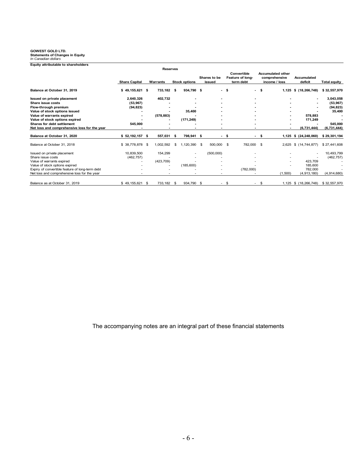## **GOWEST GOLD LTD. Statements of Changes in Equity** *In Canadian dollars*

| Equity attributable to shareholders             |                      |                          |      |                      |      |                          |      |                                              |      |                                                            |                               |                     |
|-------------------------------------------------|----------------------|--------------------------|------|----------------------|------|--------------------------|------|----------------------------------------------|------|------------------------------------------------------------|-------------------------------|---------------------|
|                                                 |                      | <b>Reserves</b>          |      |                      |      |                          |      |                                              |      |                                                            |                               |                     |
|                                                 | <b>Share Capital</b> | Warrants                 |      | <b>Stock options</b> |      | Shares to be<br>issued   |      | Convertible<br>Feature of long-<br>term debt |      | <b>Accumulated other</b><br>comprehensive<br>income / loss | <b>Accumulated</b><br>deficit | <b>Total equity</b> |
| Balance at October 31, 2019                     | $$49,155,621$ \$     | 733,182 \$               |      | 934,790 \$           |      |                          | - \$ |                                              | - \$ | 1,125                                                      | \$(18, 266, 748)              | \$32,557,970        |
| Issued on private placement                     | 2,640,326            | 402,732                  |      |                      |      |                          |      |                                              |      |                                                            |                               | 3,043,058           |
| Share issue costs                               | (53, 967)            |                          |      |                      |      |                          |      |                                              |      |                                                            |                               | (53, 967)           |
| Flow-through premium                            | (94, 823)            |                          |      |                      |      |                          |      |                                              |      |                                                            |                               | (94, 823)           |
| Value of stock options issued                   |                      |                          |      | 35,400               |      |                          |      |                                              |      |                                                            |                               | 35,400              |
| Value of warrants expired                       |                      | (578, 883)               |      |                      |      |                          |      |                                              |      |                                                            | 578,883                       |                     |
| Value of stock options expired                  |                      |                          |      | (171, 249)           |      |                          |      |                                              |      |                                                            | 171,249                       |                     |
| <b>Shares for debt settlement</b>               | 545,000              |                          |      |                      |      |                          |      |                                              |      |                                                            |                               | 545,000             |
| Net loss and comprehensive loss for the year    |                      |                          |      |                      |      |                          |      |                                              |      |                                                            | (6,731,444)                   | (6,731,444)         |
| Balance at October 31, 2020                     | $$52,192,157$ \$     | 557,031                  | - \$ | 798,941 \$           |      | $\overline{\phantom{a}}$ | -\$  | $\overline{\phantom{a}}$                     | - \$ | 1.125                                                      | \$(24, 248, 060)              | \$29,301,194        |
| Balance at October 31, 2018                     | $$38,778,878$ \$     | 1,002,592                | \$   | 1,120,390            | - \$ | 500,000                  | \$   | 782,000                                      | \$   | 2,625                                                      | \$(14, 744, 877)              | \$27,441,608        |
| Issued on private placement                     | 10,839,500           | 154,299                  |      | ۰                    |      | (500,000)                |      |                                              |      |                                                            | $\blacksquare$                | 10,493,799          |
| Share issue costs                               | (462, 757)           |                          |      |                      |      |                          |      |                                              |      |                                                            |                               | (462, 757)          |
| Value of warrants expired                       |                      | (423, 709)               |      |                      |      |                          |      |                                              |      |                                                            | 423.709                       |                     |
| Value of stock options expired                  |                      | $\overline{\phantom{0}}$ |      | (185, 600)           |      |                          |      |                                              |      |                                                            | 185,600                       |                     |
| Expiry of convertible feature of long-term debt |                      |                          |      |                      |      |                          |      | (782,000)                                    |      |                                                            | 782,000                       |                     |
| Net loss and comprehensive loss for the year    |                      |                          |      |                      |      |                          |      |                                              |      | (1,500)                                                    | (4,913,180)                   | (4,914,680)         |
| Balance as at October 31, 2019                  | $$49.155.621$ \$     | 733,182                  | \$   | 934,790 \$           |      | $\overline{\phantom{a}}$ | \$   | ٠                                            | -\$  | 1,125                                                      | \$(18, 266, 748)              | \$32,557,970        |

The accompanying notes are an integral part of these financial statements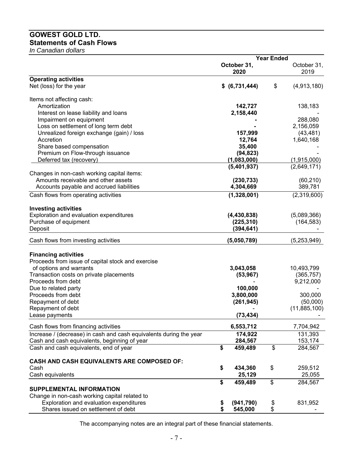## **GOWEST GOLD LTD. Statements of Cash Flows**

*In Canadian dollars* 

|                                                                    | <b>Year Ended</b> |                |                          |              |  |
|--------------------------------------------------------------------|-------------------|----------------|--------------------------|--------------|--|
|                                                                    |                   | October 31,    |                          | October 31,  |  |
|                                                                    |                   | 2020           |                          | 2019         |  |
| <b>Operating activities</b>                                        |                   |                |                          |              |  |
| Net (loss) for the year                                            |                   | \$ (6,731,444) | \$                       | (4,913,180)  |  |
| Items not affecting cash:                                          |                   |                |                          |              |  |
| Amortization                                                       |                   | 142,727        |                          | 138,183      |  |
| Interest on lease liability and loans                              |                   | 2,158,440      |                          |              |  |
| Impairment on equipment                                            |                   |                |                          | 288,080      |  |
| Loss on settlement of long term debt                               |                   |                |                          | 2,156,059    |  |
| Unrealized foreign exchange (gain) / loss                          |                   | 157,999        |                          | (43, 481)    |  |
| Accretion                                                          |                   | 12,764         |                          | 1,640,168    |  |
| Share based compensation                                           |                   | 35,400         |                          |              |  |
| Premium on Flow-through issuance                                   |                   | (94, 823)      |                          |              |  |
| Deferred tax (recovery)                                            |                   | (1,083,000)    |                          | (1,915,000)  |  |
|                                                                    |                   | (5,401,937)    |                          | (2,649,171)  |  |
| Changes in non-cash working capital items:                         |                   |                |                          |              |  |
| Amounts receivable and other assets                                |                   | (230, 733)     |                          | (60, 210)    |  |
| Accounts payable and accrued liabilities                           |                   | 4,304,669      |                          | 389,781      |  |
| Cash flows from operating activities                               |                   | (1,328,001)    |                          | (2,319,600)  |  |
| <b>Investing activities</b>                                        |                   |                |                          |              |  |
| Exploration and evaluation expenditures                            |                   | (4, 430, 838)  |                          | (5,089,366)  |  |
| Purchase of equipment                                              |                   | (225, 310)     |                          | (164, 583)   |  |
| Deposit                                                            |                   | (394, 641)     |                          |              |  |
| Cash flows from investing activities                               |                   | (5,050,789)    |                          | (5,253,949)  |  |
|                                                                    |                   |                |                          |              |  |
| <b>Financing activities</b>                                        |                   |                |                          |              |  |
| Proceeds from issue of capital stock and exercise                  |                   |                |                          |              |  |
| of options and warrants                                            |                   | 3,043,058      |                          | 10,493,799   |  |
| Transaction costs on private placements                            |                   | (53, 967)      |                          | (365, 757)   |  |
| Proceeds from debt                                                 |                   |                |                          | 9,212,000    |  |
| Due to related party                                               |                   | 100,000        |                          |              |  |
| Proceeds from debt                                                 |                   | 3,800,000      |                          | 300,000      |  |
| Repayment of debt                                                  |                   | (261, 945)     |                          | (50,000)     |  |
| Repayment of debt<br>Lease payments                                |                   |                |                          | (11,885,100) |  |
|                                                                    |                   | (73, 434)      |                          |              |  |
| Cash flows from financing activities                               |                   | 6,553,712      |                          | 7,704,942    |  |
| Increase / (decrease) in cash and cash equivalents during the year |                   | 174,922        |                          | 131,393      |  |
| Cash and cash equivalents, beginning of year                       |                   | 284,567        |                          | 153,174      |  |
| Cash and cash equivalents, end of year                             | \$                | 459,489        | $\overline{\mathcal{S}}$ | 284,567      |  |
| CASH AND CASH EQUIVALENTS ARE COMPOSED OF:                         |                   |                |                          |              |  |
| Cash                                                               | \$                | 434,360        | \$                       | 259,512      |  |
| Cash equivalents                                                   |                   | 25,129         |                          | 25,055       |  |
|                                                                    | \$                | 459,489        | \$                       | 284,567      |  |
| <b>SUPPLEMENTAL INFORMATION</b>                                    |                   |                |                          |              |  |
| Change in non-cash working capital related to                      |                   |                |                          |              |  |
| Exploration and evaluation expenditures                            | \$                | (941, 790)     | \$                       | 831,952      |  |
| Shares issued on settlement of debt                                | \$                | 545,000        | \$                       |              |  |

The accompanying notes are an integral part of these financial statements.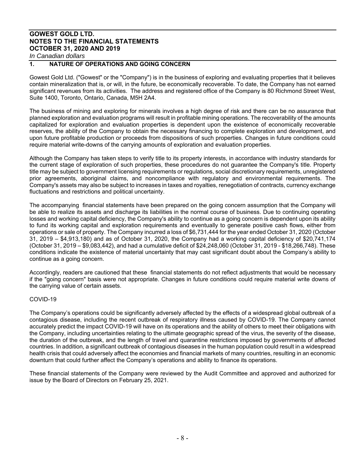## **1. NATURE OF OPERATIONS AND GOING CONCERN**

Gowest Gold Ltd. ("Gowest" or the "Company") is in the business of exploring and evaluating properties that it believes contain mineralization that is, or will, in the future, be economically recoverable. To date, the Company has not earned significant revenues from its activities. The address and registered office of the Company is 80 Richmond Street West, Suite 1400, Toronto, Ontario, Canada, M5H 2A4.

The business of mining and exploring for minerals involves a high degree of risk and there can be no assurance that planned exploration and evaluation programs will result in profitable mining operations. The recoverability of the amounts capitalized for exploration and evaluation properties is dependent upon the existence of economically recoverable reserves, the ability of the Company to obtain the necessary financing to complete exploration and development, and upon future profitable production or proceeds from dispositions of such properties. Changes in future conditions could require material write-downs of the carrying amounts of exploration and evaluation properties.

Although the Company has taken steps to verify title to its property interests, in accordance with industry standards for the current stage of exploration of such properties, these procedures do not guarantee the Company's title. Property title may be subject to government licensing requirements or regulations, social discretionary requirements, unregistered prior agreements, aboriginal claims, and noncompliance with regulatory and environmental requirements. The Company's assets may also be subject to increases in taxes and royalties, renegotiation of contracts, currency exchange fluctuations and restrictions and political uncertainty.

The accompanying financial statements have been prepared on the going concern assumption that the Company will be able to realize its assets and discharge its liabilities in the normal course of business. Due to continuing operating losses and working capital deficiency, the Company's ability to continue as a going concern is dependent upon its ability to fund its working capital and exploration requirements and eventually to generate positive cash flows, either from operations or sale of property. The Company incurred a loss of \$6,731,444 for the year ended October 31, 2020 (October 31, 2019 – \$4,913,180) and as of October 31, 2020, the Company had a working capital deficiency of \$20,741,174 (October 31, 2019 – \$9,083,442), and had a cumulative deficit of \$24,248,060 (October 31, 2019 - \$18,266,748). These conditions indicate the existence of material uncertainty that may cast significant doubt about the Company's ability to continue as a going concern.

Accordingly, readers are cautioned that these financial statements do not reflect adjustments that would be necessary if the "going concern" basis were not appropriate. Changes in future conditions could require material write downs of the carrying value of certain assets.

## COVID-19

The Company's operations could be significantly adversely affected by the effects of a widespread global outbreak of a contagious disease, including the recent outbreak of respiratory illness caused by COVID-19. The Company cannot accurately predict the impact COVID-19 will have on its operations and the ability of others to meet their obligations with the Company, including uncertainties relating to the ultimate geographic spread of the virus, the severity of the disease, the duration of the outbreak, and the length of travel and quarantine restrictions imposed by governments of affected countries. In addition, a significant outbreak of contagious diseases in the human population could result in a widespread health crisis that could adversely affect the economies and financial markets of many countries, resulting in an economic downturn that could further affect the Company's operations and ability to finance its operations.

These financial statements of the Company were reviewed by the Audit Committee and approved and authorized for issue by the Board of Directors on February 25, 2021.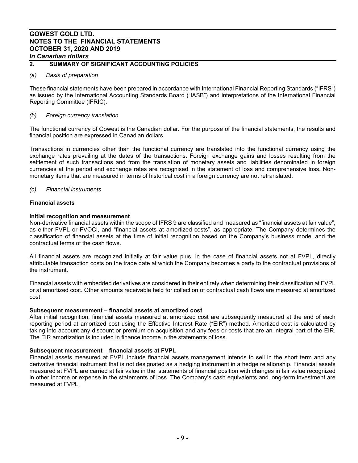## **2. SUMMARY OF SIGNIFICANT ACCOUNTING POLICIES**

## *(a) Basis of preparation*

These financial statements have been prepared in accordance with International Financial Reporting Standards ("IFRS") as issued by the International Accounting Standards Board ("IASB") and interpretations of the International Financial Reporting Committee (IFRIC).

## *(b) Foreign currency translation*

The functional currency of Gowest is the Canadian dollar. For the purpose of the financial statements, the results and financial position are expressed in Canadian dollars.

Transactions in currencies other than the functional currency are translated into the functional currency using the exchange rates prevailing at the dates of the transactions. Foreign exchange gains and losses resulting from the settlement of such transactions and from the translation of monetary assets and liabilities denominated in foreign currencies at the period end exchange rates are recognised in the statement of loss and comprehensive loss. Nonmonetary items that are measured in terms of historical cost in a foreign currency are not retranslated.

## *(c) Financial instruments*

## **Financial assets**

## **Initial recognition and measurement**

Non-derivative financial assets within the scope of IFRS 9 are classified and measured as "financial assets at fair value", as either FVPL or FVOCI, and "financial assets at amortized costs", as appropriate. The Company determines the classification of financial assets at the time of initial recognition based on the Company's business model and the contractual terms of the cash flows.

All financial assets are recognized initially at fair value plus, in the case of financial assets not at FVPL, directly attributable transaction costs on the trade date at which the Company becomes a party to the contractual provisions of the instrument.

Financial assets with embedded derivatives are considered in their entirety when determining their classification at FVPL or at amortized cost. Other amounts receivable held for collection of contractual cash flows are measured at amortized cost.

## **Subsequent measurement – financial assets at amortized cost**

After initial recognition, financial assets measured at amortized cost are subsequently measured at the end of each reporting period at amortized cost using the Effective Interest Rate ("EIR") method. Amortized cost is calculated by taking into account any discount or premium on acquisition and any fees or costs that are an integral part of the EIR. The EIR amortization is included in finance income in the statements of loss.

## **Subsequent measurement – financial assets at FVPL**

Financial assets measured at FVPL include financial assets management intends to sell in the short term and any derivative financial instrument that is not designated as a hedging instrument in a hedge relationship. Financial assets measured at FVPL are carried at fair value in the statements of financial position with changes in fair value recognized in other income or expense in the statements of loss. The Company's cash equivalents and long-term investment are measured at FVPL.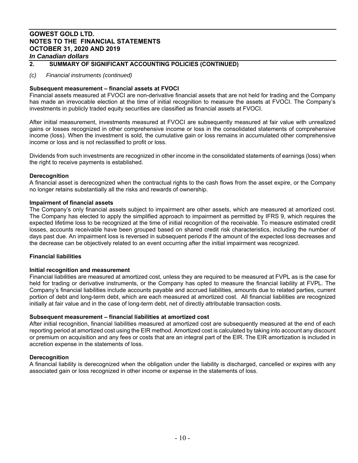## **2. SUMMARY OF SIGNIFICANT ACCOUNTING POLICIES (CONTINUED)**

## *(c) Financial instruments (continued)*

## **Subsequent measurement – financial assets at FVOCI**

Financial assets measured at FVOCI are non-derivative financial assets that are not held for trading and the Company has made an irrevocable election at the time of initial recognition to measure the assets at FVOCI. The Company's investments in publicly traded equity securities are classified as financial assets at FVOCI.

After initial measurement, investments measured at FVOCI are subsequently measured at fair value with unrealized gains or losses recognized in other comprehensive income or loss in the consolidated statements of comprehensive income (loss). When the investment is sold, the cumulative gain or loss remains in accumulated other comprehensive income or loss and is not reclassified to profit or loss.

Dividends from such investments are recognized in other income in the consolidated statements of earnings (loss) when the right to receive payments is established.

## **Derecognition**

A financial asset is derecognized when the contractual rights to the cash flows from the asset expire, or the Company no longer retains substantially all the risks and rewards of ownership.

## **Impairment of financial assets**

The Company's only financial assets subject to impairment are other assets, which are measured at amortized cost. The Company has elected to apply the simplified approach to impairment as permitted by IFRS 9, which requires the expected lifetime loss to be recognized at the time of initial recognition of the receivable. To measure estimated credit losses, accounts receivable have been grouped based on shared credit risk characteristics, including the number of days past due. An impairment loss is reversed in subsequent periods if the amount of the expected loss decreases and the decrease can be objectively related to an event occurring after the initial impairment was recognized.

## **Financial liabilities**

## **Initial recognition and measurement**

Financial liabilities are measured at amortized cost, unless they are required to be measured at FVPL as is the case for held for trading or derivative instruments, or the Company has opted to measure the financial liability at FVPL. The Company's financial liabilities include accounts payable and accrued liabilities, amounts due to related parties, current portion of debt and long-term debt, which are each measured at amortized cost. All financial liabilities are recognized initially at fair value and in the case of long-term debt, net of directly attributable transaction costs.

## **Subsequent measurement – financial liabilities at amortized cost**

After initial recognition, financial liabilities measured at amortized cost are subsequently measured at the end of each reporting period at amortized cost using the EIR method. Amortized cost is calculated by taking into account any discount or premium on acquisition and any fees or costs that are an integral part of the EIR. The EIR amortization is included in accretion expense in the statements of loss.

## **Derecognition**

A financial liability is derecognized when the obligation under the liability is discharged, cancelled or expires with any associated gain or loss recognized in other income or expense in the statements of loss.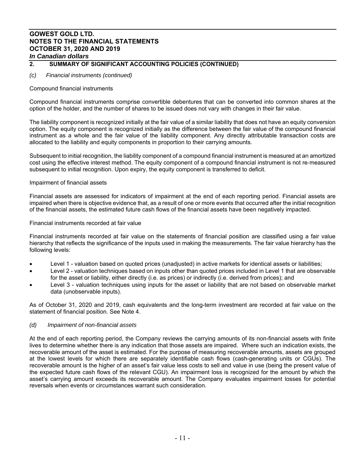## **2. SUMMARY OF SIGNIFICANT ACCOUNTING POLICIES (CONTINUED)**

## *(c) Financial instruments (continued)*

## Compound financial instruments

Compound financial instruments comprise convertible debentures that can be converted into common shares at the option of the holder, and the number of shares to be issued does not vary with changes in their fair value.

The liability component is recognized initially at the fair value of a similar liability that does not have an equity conversion option. The equity component is recognized initially as the difference between the fair value of the compound financial instrument as a whole and the fair value of the liability component. Any directly attributable transaction costs are allocated to the liability and equity components in proportion to their carrying amounts.

Subsequent to initial recognition, the liability component of a compound financial instrument is measured at an amortized cost using the effective interest method. The equity component of a compound financial instrument is not re‐measured subsequent to initial recognition. Upon expiry, the equity component is transferred to deficit.

## Impairment of financial assets

Financial assets are assessed for indicators of impairment at the end of each reporting period. Financial assets are impaired when there is objective evidence that, as a result of one or more events that occurred after the initial recognition of the financial assets, the estimated future cash flows of the financial assets have been negatively impacted.

## Financial instruments recorded at fair value

Financial instruments recorded at fair value on the statements of financial position are classified using a fair value hierarchy that reflects the significance of the inputs used in making the measurements. The fair value hierarchy has the following levels:

- Level 1 valuation based on quoted prices (unadjusted) in active markets for identical assets or liabilities;
- Level 2 valuation techniques based on inputs other than quoted prices included in Level 1 that are observable for the asset or liability, either directly (i.e. as prices) or indirectly (i.e. derived from prices); and
- Level 3 valuation techniques using inputs for the asset or liability that are not based on observable market data (unobservable inputs).

As of October 31, 2020 and 2019, cash equivalents and the long-term investment are recorded at fair value on the statement of financial position. See Note 4.

## *(d) Impairment of non-financial assets*

At the end of each reporting period, the Company reviews the carrying amounts of its non-financial assets with finite lives to determine whether there is any indication that those assets are impaired. Where such an indication exists, the recoverable amount of the asset is estimated. For the purpose of measuring recoverable amounts, assets are grouped at the lowest levels for which there are separately identifiable cash flows (cash-generating units or CGUs). The recoverable amount is the higher of an asset's fair value less costs to sell and value in use (being the present value of the expected future cash flows of the relevant CGU). An impairment loss is recognized for the amount by which the asset's carrying amount exceeds its recoverable amount. The Company evaluates impairment losses for potential reversals when events or circumstances warrant such consideration.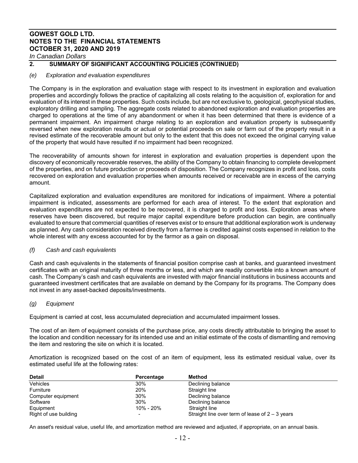## **2. SUMMARY OF SIGNIFICANT ACCOUNTING POLICIES (CONTINUED)**

## *(e) Exploration and evaluation expenditures*

The Company is in the exploration and evaluation stage with respect to its investment in exploration and evaluation properties and accordingly follows the practice of capitalizing all costs relating to the acquisition of, exploration for and evaluation of its interest in these properties. Such costs include, but are not exclusive to, geological, geophysical studies, exploratory drilling and sampling. The aggregate costs related to abandoned exploration and evaluation properties are charged to operations at the time of any abandonment or when it has been determined that there is evidence of a permanent impairment. An impairment charge relating to an exploration and evaluation property is subsequently reversed when new exploration results or actual or potential proceeds on sale or farm out of the property result in a revised estimate of the recoverable amount but only to the extent that this does not exceed the original carrying value of the property that would have resulted if no impairment had been recognized.

The recoverability of amounts shown for interest in exploration and evaluation properties is dependent upon the discovery of economically recoverable reserves, the ability of the Company to obtain financing to complete development of the properties, and on future production or proceeds of disposition. The Company recognizes in profit and loss, costs recovered on exploration and evaluation properties when amounts received or receivable are in excess of the carrying amount.

Capitalized exploration and evaluation expenditures are monitored for indications of impairment. Where a potential impairment is indicated, assessments are performed for each area of interest. To the extent that exploration and evaluation expenditures are not expected to be recovered, it is charged to profit and loss. Exploration areas where reserves have been discovered, but require major capital expenditure before production can begin, are continually evaluated to ensure that commercial quantities of reserves exist or to ensure that additional exploration work is underway as planned. Any cash consideration received directly from a farmee is credited against costs expensed in relation to the whole interest with any excess accounted for by the farmor as a gain on disposal.

## *(f) Cash and cash equivalents*

Cash and cash equivalents in the statements of financial position comprise cash at banks, and guaranteed investment certificates with an original maturity of three months or less, and which are readily convertible into a known amount of cash. The Company's cash and cash equivalents are invested with major financial institutions in business accounts and guaranteed investment certificates that are available on demand by the Company for its programs. The Company does not invest in any asset-backed deposits/investments.

## *(g) Equipment*

Equipment is carried at cost, less accumulated depreciation and accumulated impairment losses.

The cost of an item of equipment consists of the purchase price, any costs directly attributable to bringing the asset to the location and condition necessary for its intended use and an initial estimate of the costs of dismantling and removing the item and restoring the site on which it is located.

Amortization is recognized based on the cost of an item of equipment, less its estimated residual value, over its estimated useful life at the following rates:

| <b>Detail</b>         | Percentage | Method                                            |
|-----------------------|------------|---------------------------------------------------|
| <b>Vehicles</b>       | 30%        | Declining balance                                 |
| Furniture             | 20%        | Straight line                                     |
| Computer equipment    | 30%        | Declining balance                                 |
| Software              | 30%        | Declining balance                                 |
| Equipment             | 10% - 20%  | Straight line                                     |
| Right of use building |            | Straight line over term of lease of $2 - 3$ years |

An asset's residual value, useful life, and amortization method are reviewed and adjusted, if appropriate, on an annual basis.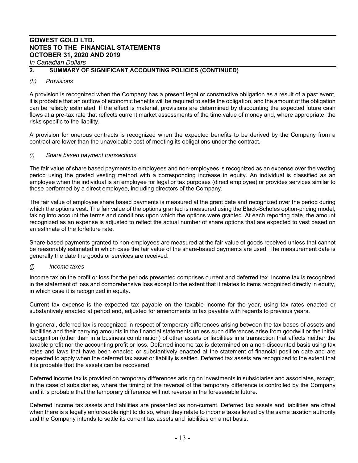## **2. SUMMARY OF SIGNIFICANT ACCOUNTING POLICIES (CONTINUED)**

## *(h) Provisions*

A provision is recognized when the Company has a present legal or constructive obligation as a result of a past event, it is probable that an outflow of economic benefits will be required to settle the obligation, and the amount of the obligation can be reliably estimated. If the effect is material, provisions are determined by discounting the expected future cash flows at a pre-tax rate that reflects current market assessments of the time value of money and, where appropriate, the risks specific to the liability.

A provision for onerous contracts is recognized when the expected benefits to be derived by the Company from a contract are lower than the unavoidable cost of meeting its obligations under the contract.

## *(i) Share based payment transactions*

The fair value of share based payments to employees and non-employees is recognized as an expense over the vesting period using the graded vesting method with a corresponding increase in equity. An individual is classified as an employee when the individual is an employee for legal or tax purposes (direct employee) or provides services similar to those performed by a direct employee, including directors of the Company.

The fair value of employee share based payments is measured at the grant date and recognized over the period during which the options vest. The fair value of the options granted is measured using the Black-Scholes option-pricing model, taking into account the terms and conditions upon which the options were granted. At each reporting date, the amount recognized as an expense is adjusted to reflect the actual number of share options that are expected to vest based on an estimate of the forfeiture rate.

Share-based payments granted to non-employees are measured at the fair value of goods received unless that cannot be reasonably estimated in which case the fair value of the share-based payments are used. The measurement date is generally the date the goods or services are received.

## *(j) Income taxes*

Income tax on the profit or loss for the periods presented comprises current and deferred tax. Income tax is recognized in the statement of loss and comprehensive loss except to the extent that it relates to items recognized directly in equity, in which case it is recognized in equity.

Current tax expense is the expected tax payable on the taxable income for the year, using tax rates enacted or substantively enacted at period end, adjusted for amendments to tax payable with regards to previous years.

In general, deferred tax is recognized in respect of temporary differences arising between the tax bases of assets and liabilities and their carrying amounts in the financial statements unless such differences arise from goodwill or the initial recognition (other than in a business combination) of other assets or liabilities in a transaction that affects neither the taxable profit nor the accounting profit or loss. Deferred income tax is determined on a non-discounted basis using tax rates and laws that have been enacted or substantively enacted at the statement of financial position date and are expected to apply when the deferred tax asset or liability is settled. Deferred tax assets are recognized to the extent that it is probable that the assets can be recovered.

Deferred income tax is provided on temporary differences arising on investments in subsidiaries and associates, except, in the case of subsidiaries, where the timing of the reversal of the temporary difference is controlled by the Company and it is probable that the temporary difference will not reverse in the foreseeable future.

Deferred income tax assets and liabilities are presented as non-current. Deferred tax assets and liabilities are offset when there is a legally enforceable right to do so, when they relate to income taxes levied by the same taxation authority and the Company intends to settle its current tax assets and liabilities on a net basis.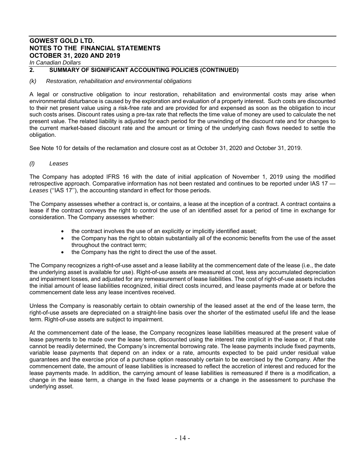*In Canadian Dollars*

## **2. SUMMARY OF SIGNIFICANT ACCOUNTING POLICIES (CONTINUED)**

## *(k) Restoration, rehabilitation and environmental obligations*

A legal or constructive obligation to incur restoration, rehabilitation and environmental costs may arise when environmental disturbance is caused by the exploration and evaluation of a property interest. Such costs are discounted to their net present value using a risk-free rate and are provided for and expensed as soon as the obligation to incur such costs arises. Discount rates using a pre-tax rate that reflects the time value of money are used to calculate the net present value. The related liability is adjusted for each period for the unwinding of the discount rate and for changes to the current market-based discount rate and the amount or timing of the underlying cash flows needed to settle the obligation.

See Note 10 for details of the reclamation and closure cost as at October 31, 2020 and October 31, 2019.

## *(l) Leases*

The Company has adopted IFRS 16 with the date of initial application of November 1, 2019 using the modified retrospective approach. Comparative information has not been restated and continues to be reported under IAS 17 — *Leases* (''IAS 17''), the accounting standard in effect for those periods.

The Company assesses whether a contract is, or contains, a lease at the inception of a contract. A contract contains a lease if the contract conveys the right to control the use of an identified asset for a period of time in exchange for consideration. The Company assesses whether:

- the contract involves the use of an explicitly or implicitly identified asset;
- the Company has the right to obtain substantially all of the economic benefits from the use of the asset throughout the contract term;
- the Company has the right to direct the use of the asset.

The Company recognizes a right-of-use asset and a lease liability at the commencement date of the lease (i.e., the date the underlying asset is available for use). Right-of-use assets are measured at cost, less any accumulated depreciation and impairment losses, and adjusted for any remeasurement of lease liabilities. The cost of right-of-use assets includes the initial amount of lease liabilities recognized, initial direct costs incurred, and lease payments made at or before the commencement date less any lease incentives received.

Unless the Company is reasonably certain to obtain ownership of the leased asset at the end of the lease term, the right-of-use assets are depreciated on a straight-line basis over the shorter of the estimated useful life and the lease term. Right-of-use assets are subject to impairment.

At the commencement date of the lease, the Company recognizes lease liabilities measured at the present value of lease payments to be made over the lease term, discounted using the interest rate implicit in the lease or, if that rate cannot be readily determined, the Company's incremental borrowing rate. The lease payments include fixed payments, variable lease payments that depend on an index or a rate, amounts expected to be paid under residual value guarantees and the exercise price of a purchase option reasonably certain to be exercised by the Company. After the commencement date, the amount of lease liabilities is increased to reflect the accretion of interest and reduced for the lease payments made. In addition, the carrying amount of lease liabilities is remeasured if there is a modification, a change in the lease term, a change in the fixed lease payments or a change in the assessment to purchase the underlying asset.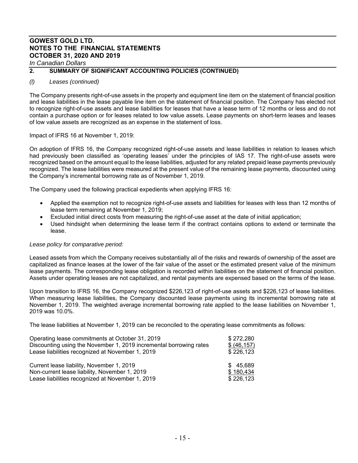*In Canadian Dollars* 

## **2. SUMMARY OF SIGNIFICANT ACCOUNTING POLICIES (CONTINUED)**

## *(l) Leases (continued)*

The Company presents right-of-use assets in the property and equipment line item on the statement of financial position and lease liabilities in the lease payable line item on the statement of financial position. The Company has elected not to recognize right-of-use assets and lease liabilities for leases that have a lease term of 12 months or less and do not contain a purchase option or for leases related to low value assets. Lease payments on short-term leases and leases of low value assets are recognized as an expense in the statement of loss.

Impact of IFRS 16 at November 1, 2019:

On adoption of IFRS 16, the Company recognized right-of-use assets and lease liabilities in relation to leases which had previously been classified as 'operating leases' under the principles of IAS 17. The right-of-use assets were recognized based on the amount equal to the lease liabilities, adjusted for any related prepaid lease payments previously recognized. The lease liabilities were measured at the present value of the remaining lease payments, discounted using the Company's incremental borrowing rate as of November 1, 2019.

The Company used the following practical expedients when applying IFRS 16:

- Applied the exemption not to recognize right-of-use assets and liabilities for leases with less than 12 months of lease term remaining at November 1, 2019;
- Excluded initial direct costs from measuring the right-of-use asset at the date of initial application;
- Used hindsight when determining the lease term if the contract contains options to extend or terminate the lease.

## *Lease policy for comparative period:*

Leased assets from which the Company receives substantially all of the risks and rewards of ownership of the asset are capitalized as finance leases at the lower of the fair value of the asset or the estimated present value of the minimum lease payments. The corresponding lease obligation is recorded within liabilities on the statement of financial position. Assets under operating leases are not capitalized, and rental payments are expensed based on the terms of the lease.

Upon transition to IFRS 16, the Company recognized \$226,123 of right-of-use assets and \$226,123 of lease liabilities. When measuring lease liabilities, the Company discounted lease payments using its incremental borrowing rate at November 1, 2019. The weighted average incremental borrowing rate applied to the lease liabilities on November 1, 2019 was 10.0%.

The lease liabilities at November 1, 2019 can be reconciled to the operating lease commitments as follows:

| Operating lease commitments at October 31, 2019                    | \$272,280    |
|--------------------------------------------------------------------|--------------|
| Discounting using the November 1, 2019 incremental borrowing rates | \$ (46, 157) |
| Lease liabilities recognized at November 1, 2019                   | \$226,123    |
| Current lease liability, November 1, 2019                          | \$45,689     |
| Non-current lease liability, November 1, 2019                      | \$180,434    |
| Lease liabilities recognized at November 1, 2019                   | \$226,123    |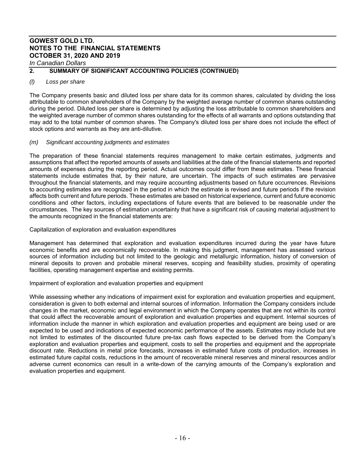*In Canadian Dollars* 

## **2. SUMMARY OF SIGNIFICANT ACCOUNTING POLICIES (CONTINUED)**

## *(l) Loss per share*

The Company presents basic and diluted loss per share data for its common shares, calculated by dividing the loss attributable to common shareholders of the Company by the weighted average number of common shares outstanding during the period. Diluted loss per share is determined by adjusting the loss attributable to common shareholders and the weighted average number of common shares outstanding for the effects of all warrants and options outstanding that may add to the total number of common shares. The Company's diluted loss per share does not include the effect of stock options and warrants as they are anti-dilutive.

## *(m) Significant accounting judgments and estimates*

The preparation of these financial statements requires management to make certain estimates, judgments and assumptions that affect the reported amounts of assets and liabilities at the date of the financial statements and reported amounts of expenses during the reporting period. Actual outcomes could differ from these estimates. These financial statements include estimates that, by their nature, are uncertain. The impacts of such estimates are pervasive throughout the financial statements, and may require accounting adjustments based on future occurrences. Revisions to accounting estimates are recognized in the period in which the estimate is revised and future periods if the revision affects both current and future periods. These estimates are based on historical experience, current and future economic conditions and other factors, including expectations of future events that are believed to be reasonable under the circumstances. The key sources of estimation uncertainty that have a significant risk of causing material adjustment to the amounts recognized in the financial statements are:

Capitalization of exploration and evaluation expenditures

Management has determined that exploration and evaluation expenditures incurred during the year have future economic benefits and are economically recoverable. In making this judgment, management has assessed various sources of information including but not limited to the geologic and metallurgic information, history of conversion of mineral deposits to proven and probable mineral reserves, scoping and feasibility studies, proximity of operating facilities, operating management expertise and existing permits.

Impairment of exploration and evaluation properties and equipment

While assessing whether any indications of impairment exist for exploration and evaluation properties and equipment, consideration is given to both external and internal sources of information. Information the Company considers include changes in the market, economic and legal environment in which the Company operates that are not within its control that could affect the recoverable amount of exploration and evaluation properties and equipment. Internal sources of information include the manner in which exploration and evaluation properties and equipment are being used or are expected to be used and indications of expected economic performance of the assets. Estimates may include but are not limited to estimates of the discounted future pre-tax cash flows expected to be derived from the Company's exploration and evaluation properties and equipment, costs to sell the properties and equipment and the appropriate discount rate. Reductions in metal price forecasts, increases in estimated future costs of production, increases in estimated future capital costs, reductions in the amount of recoverable mineral reserves and mineral resources and/or adverse current economics can result in a write-down of the carrying amounts of the Company's exploration and evaluation properties and equipment.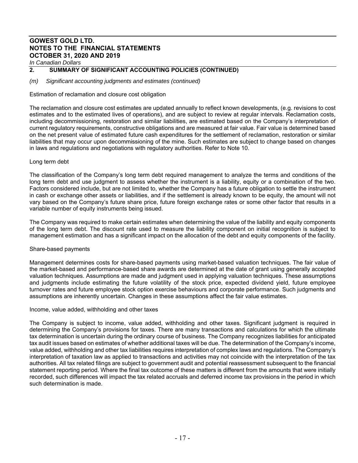*In Canadian Dollars*

## **2. SUMMARY OF SIGNIFICANT ACCOUNTING POLICIES (CONTINUED)**

*(m) Significant accounting judgments and estimates (continued)* 

Estimation of reclamation and closure cost obligation

The reclamation and closure cost estimates are updated annually to reflect known developments, (e.g. revisions to cost estimates and to the estimated lives of operations), and are subject to review at regular intervals. Reclamation costs, including decommissioning, restoration and similar liabilities, are estimated based on the Company's interpretation of current regulatory requirements, constructive obligations and are measured at fair value. Fair value is determined based on the net present value of estimated future cash expenditures for the settlement of reclamation, restoration or similar liabilities that may occur upon decommissioning of the mine. Such estimates are subject to change based on changes in laws and regulations and negotiations with regulatory authorities. Refer to Note 10.

## Long term debt

The classification of the Company's long term debt required management to analyze the terms and conditions of the long term debt and use judgment to assess whether the instrument is a liability, equity or a combination of the two. Factors considered include, but are not limited to, whether the Company has a future obligation to settle the instrument in cash or exchange other assets or liabilities, and if the settlement is already known to be equity, the amount will not vary based on the Company's future share price, future foreign exchange rates or some other factor that results in a variable number of equity instruments being issued.

The Company was required to make certain estimates when determining the value of the liability and equity components of the long term debt. The discount rate used to measure the liability component on initial recognition is subject to management estimation and has a significant impact on the allocation of the debt and equity components of the facility.

## Share-based payments

Management determines costs for share-based payments using market-based valuation techniques. The fair value of the market-based and performance-based share awards are determined at the date of grant using generally accepted valuation techniques. Assumptions are made and judgment used in applying valuation techniques. These assumptions and judgments include estimating the future volatility of the stock price, expected dividend yield, future employee turnover rates and future employee stock option exercise behaviours and corporate performance. Such judgments and assumptions are inherently uncertain. Changes in these assumptions affect the fair value estimates.

## Income, value added, withholding and other taxes

The Company is subject to income, value added, withholding and other taxes. Significant judgment is required in determining the Company's provisions for taxes. There are many transactions and calculations for which the ultimate tax determination is uncertain during the ordinary course of business. The Company recognizes liabilities for anticipated tax audit issues based on estimates of whether additional taxes will be due. The determination of the Company's income, value added, withholding and other tax liabilities requires interpretation of complex laws and regulations. The Company's interpretation of taxation law as applied to transactions and activities may not coincide with the interpretation of the tax authorities. All tax related filings are subject to government audit and potential reassessment subsequent to the financial statement reporting period. Where the final tax outcome of these matters is different from the amounts that were initially recorded, such differences will impact the tax related accruals and deferred income tax provisions in the period in which such determination is made.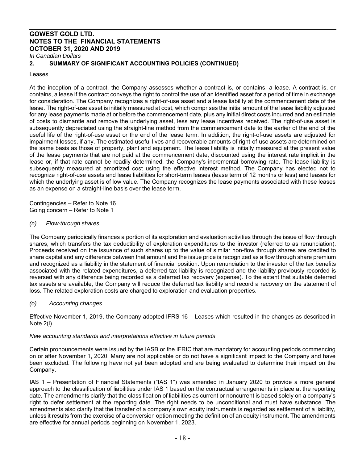## **2. SUMMARY OF SIGNIFICANT ACCOUNTING POLICIES (CONTINUED)**

## Leases

At the inception of a contract, the Company assesses whether a contract is, or contains, a lease. A contract is, or contains, a lease if the contract conveys the right to control the use of an identified asset for a period of time in exchange for consideration. The Company recognizes a right-of-use asset and a lease liability at the commencement date of the lease. The right-of-use asset is initially measured at cost, which comprises the initial amount of the lease liability adjusted for any lease payments made at or before the commencement date, plus any initial direct costs incurred and an estimate of costs to dismantle and remove the underlying asset, less any lease incentives received. The right-of-use asset is subsequently depreciated using the straight-line method from the commencement date to the earlier of the end of the useful life of the right-of-use asset or the end of the lease term. In addition, the right-of-use assets are adjusted for impairment losses, if any. The estimated useful lives and recoverable amounts of right-of-use assets are determined on the same basis as those of property, plant and equipment. The lease liability is initially measured at the present value of the lease payments that are not paid at the commencement date, discounted using the interest rate implicit in the lease or, if that rate cannot be readily determined, the Company's incremental borrowing rate. The lease liability is subsequently measured at amortized cost using the effective interest method. The Company has elected not to recognize right-of-use assets and lease liabilities for short-term leases (lease term of 12 months or less) and leases for which the underlying asset is of low value. The Company recognizes the lease payments associated with these leases as an expense on a straight-line basis over the lease term.

Contingencies – Refer to Note 16 Going concern – Refer to Note 1

## *(n) Flow-through shares*

The Company periodically finances a portion of its exploration and evaluation activities through the issue of flow through shares, which transfers the tax deductibility of exploration expenditures to the investor (referred to as renunciation). Proceeds received on the issuance of such shares up to the value of similar non-flow through shares are credited to share capital and any difference between that amount and the issue price is recognized as a flow through share premium and recognized as a liability in the statement of financial position. Upon renunciation to the investor of the tax benefits associated with the related expenditures, a deferred tax liability is recognized and the liability previously recorded is reversed with any difference being recorded as a deferred tax recovery (expense). To the extent that suitable deferred tax assets are available, the Company will reduce the deferred tax liability and record a recovery on the statement of loss. The related exploration costs are charged to exploration and evaluation properties.

## *(o) Accounting changes*

Effective November 1, 2019, the Company adopted IFRS 16 – Leases which resulted in the changes as described in Note 2(l).

## *New accounting standards and interpretations effective in future periods*

Certain pronouncements were issued by the IASB or the IFRIC that are mandatory for accounting periods commencing on or after November 1, 2020. Many are not applicable or do not have a significant impact to the Company and have been excluded. The following have not yet been adopted and are being evaluated to determine their impact on the Company.

IAS 1 – Presentation of Financial Statements ("IAS 1") was amended in January 2020 to provide a more general approach to the classification of liabilities under IAS 1 based on the contractual arrangements in place at the reporting date. The amendments clarify that the classification of liabilities as current or noncurrent is based solely on a company's right to defer settlement at the reporting date. The right needs to be unconditional and must have substance. The amendments also clarify that the transfer of a company's own equity instruments is regarded as settlement of a liability, unless it results from the exercise of a conversion option meeting the definition of an equity instrument. The amendments are effective for annual periods beginning on November 1, 2023.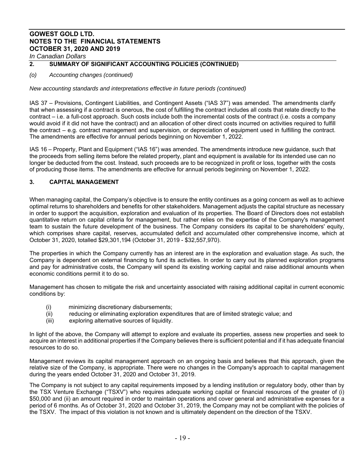## **2. SUMMARY OF SIGNIFICANT ACCOUNTING POLICIES (CONTINUED)**

## *(o) Accounting changes (continued)*

*New accounting standards and interpretations effective in future periods (continued)* 

IAS 37 – Provisions, Contingent Liabilities, and Contingent Assets ("IAS 37") was amended. The amendments clarify that when assessing if a contract is onerous, the cost of fulfilling the contract includes all costs that relate directly to the contract – i.e. a full-cost approach. Such costs include both the incremental costs of the contract (i.e. costs a company would avoid if it did not have the contract) and an allocation of other direct costs incurred on activities required to fulfill the contract – e.g. contract management and supervision, or depreciation of equipment used in fulfilling the contract. The amendments are effective for annual periods beginning on November 1, 2022.

IAS 16 – Property, Plant and Equipment ("IAS 16") was amended. The amendments introduce new guidance, such that the proceeds from selling items before the related property, plant and equipment is available for its intended use can no longer be deducted from the cost. Instead, such proceeds are to be recognized in profit or loss, together with the costs of producing those items. The amendments are effective for annual periods beginning on November 1, 2022.

## **3. CAPITAL MANAGEMENT**

When managing capital, the Company's objective is to ensure the entity continues as a going concern as well as to achieve optimal returns to shareholders and benefits for other stakeholders. Management adjusts the capital structure as necessary in order to support the acquisition, exploration and evaluation of its properties. The Board of Directors does not establish quantitative return on capital criteria for management, but rather relies on the expertise of the Company's management team to sustain the future development of the business. The Company considers its capital to be shareholders' equity, which comprises share capital, reserves, accumulated deficit and accumulated other comprehensive income, which at October 31, 2020, totalled \$29,301,194 (October 31, 2019 - \$32,557,970).

The properties in which the Company currently has an interest are in the exploration and evaluation stage. As such, the Company is dependent on external financing to fund its activities. In order to carry out its planned exploration programs and pay for administrative costs, the Company will spend its existing working capital and raise additional amounts when economic conditions permit it to do so.

Management has chosen to mitigate the risk and uncertainty associated with raising additional capital in current economic conditions by:

- (i) minimizing discretionary disbursements;
- (ii) reducing or eliminating exploration expenditures that are of limited strategic value; and
- (iii) exploring alternative sources of liquidity.

In light of the above, the Company will attempt to explore and evaluate its properties, assess new properties and seek to acquire an interest in additional properties if the Company believes there is sufficient potential and if it has adequate financial resources to do so.

Management reviews its capital management approach on an ongoing basis and believes that this approach, given the relative size of the Company, is appropriate. There were no changes in the Company's approach to capital management during the years ended October 31, 2020 and October 31, 2019.

The Company is not subject to any capital requirements imposed by a lending institution or regulatory body, other than by the TSX Venture Exchange ("TSXV") who requires adequate working capital or financial resources of the greater of (i) \$50,000 and (ii) an amount required in order to maintain operations and cover general and administrative expenses for a period of 6 months. As of October 31, 2020 and October 31, 2019, the Company may not be compliant with the policies of the TSXV. The impact of this violation is not known and is ultimately dependent on the direction of the TSXV.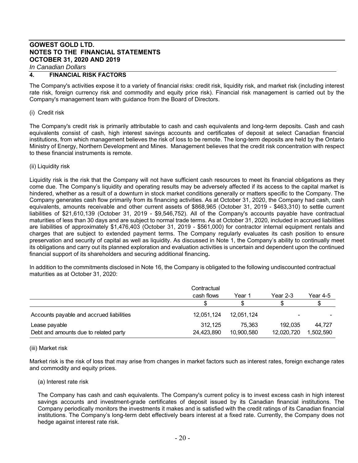#### **4. FINANCIAL RISK FACTORS**

The Company's activities expose it to a variety of financial risks: credit risk, liquidity risk, and market risk (including interest rate risk, foreign currency risk and commodity and equity price risk). Financial risk management is carried out by the Company's management team with guidance from the Board of Directors.

#### (i) Credit risk

The Company's credit risk is primarily attributable to cash and cash equivalents and long-term deposits. Cash and cash equivalents consist of cash, high interest savings accounts and certificates of deposit at select Canadian financial institutions, from which management believes the risk of loss to be remote. The long-term deposits are held by the Ontario Ministry of Energy, Northern Development and Mines. Management believes that the credit risk concentration with respect to these financial instruments is remote.

#### (ii) Liquidity risk

Liquidity risk is the risk that the Company will not have sufficient cash resources to meet its financial obligations as they come due. The Company's liquidity and operating results may be adversely affected if its access to the capital market is hindered, whether as a result of a downturn in stock market conditions generally or matters specific to the Company. The Company generates cash flow primarily from its financing activities. As at October 31, 2020, the Company had cash, cash equivalents, amounts receivable and other current assets of \$868,965 (October 31, 2019 - \$463,310) to settle current liabilities of \$21,610,139 (October 31, 2019 - \$9,546,752). All of the Company's accounts payable have contractual maturities of less than 30 days and are subject to normal trade terms. As at October 31, 2020, included in accrued liabilities are liabilities of approximately \$1,476,403 (October 31, 2019 - \$561,000) for contractor internal equipment rentals and charges that are subject to extended payment terms. The Company regularly evaluates its cash position to ensure preservation and security of capital as well as liquidity. As discussed in Note 1, the Company's ability to continually meet its obligations and carry out its planned exploration and evaluation activities is uncertain and dependent upon the continued financial support of its shareholders and securing additional financing**.** 

In addition to the commitments disclosed in Note 16, the Company is obligated to the following undiscounted contractual maturities as at October 31, 2020:

|                                          | Contractual |            |            |           |
|------------------------------------------|-------------|------------|------------|-----------|
|                                          | cash flows  | Year 1     | Year $2-3$ | Year 4-5  |
|                                          |             |            |            |           |
| Accounts payable and accrued liabilities | 12.051.124  | 12,051,124 | -          |           |
| Lease payable                            | 312.125     | 75.363     | 192.035    | 44.727    |
| Debt and amounts due to related party    | 24,423,890  | 10,900,580 | 12,020,720 | 1.502.590 |

#### (iii) Market risk

Market risk is the risk of loss that may arise from changes in market factors such as interest rates, foreign exchange rates and commodity and equity prices.

#### (a) Interest rate risk

The Company has cash and cash equivalents. The Company's current policy is to invest excess cash in high interest savings accounts and investment-grade certificates of deposit issued by its Canadian financial institutions. The Company periodically monitors the investments it makes and is satisfied with the credit ratings of its Canadian financial institutions. The Company's long-term debt effectively bears interest at a fixed rate. Currently, the Company does not hedge against interest rate risk.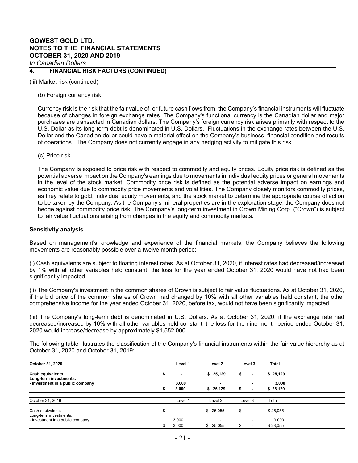## **4. FINANCIAL RISK FACTORS (CONTINUED)**

(iii) Market risk (continued)

(b) Foreign currency risk

Currency risk is the risk that the fair value of, or future cash flows from, the Company's financial instruments will fluctuate because of changes in foreign exchange rates. The Company's functional currency is the Canadian dollar and major purchases are transacted in Canadian dollars. The Company's foreign currency risk arises primarily with respect to the U.S. Dollar as its long-term debt is denominated in U.S. Dollars. Fluctuations in the exchange rates between the U.S. Dollar and the Canadian dollar could have a material effect on the Company's business, financial condition and results of operations. The Company does not currently engage in any hedging activity to mitigate this risk.

(c) Price risk

The Company is exposed to price risk with respect to commodity and equity prices. Equity price risk is defined as the potential adverse impact on the Company's earnings due to movements in individual equity prices or general movements in the level of the stock market. Commodity price risk is defined as the potential adverse impact on earnings and economic value due to commodity price movements and volatilities. The Company closely monitors commodity prices, as they relate to gold, individual equity movements, and the stock market to determine the appropriate course of action to be taken by the Company. As the Company's mineral properties are in the exploration stage, the Company does not hedge against commodity price risk. The Company's long-term investment in Crown Mining Corp. ("Crown") is subject to fair value fluctuations arising from changes in the equity and commodity markets.

#### **Sensitivity analysis**

Based on management's knowledge and experience of the financial markets, the Company believes the following movements are reasonably possible over a twelve month period:

(i) Cash equivalents are subject to floating interest rates. As at October 31, 2020, if interest rates had decreased/increased by 1% with all other variables held constant, the loss for the year ended October 31, 2020 would have not had been significantly impacted.

(ii) The Company's investment in the common shares of Crown is subject to fair value fluctuations. As at October 31, 2020, if the bid price of the common shares of Crown had changed by 10% with all other variables held constant, the other comprehensive income for the year ended October 31, 2020, before tax, would not have been significantly impacted.

(iii) The Company's long-term debt is denominated in U.S. Dollars. As at October 31, 2020, if the exchange rate had decreased/increased by 10% with all other variables held constant, the loss for the nine month period ended October 31, 2020 would increase/decrease by approximately \$1,552,000.

The following table illustrates the classification of the Company's financial instruments within the fair value hierarchy as at October 31, 2020 and October 31, 2019:

| October 31, 2020                                  | Level 1                        | Level 2                  | Level 3 |                          | Total    |  |
|---------------------------------------------------|--------------------------------|--------------------------|---------|--------------------------|----------|--|
| <b>Cash equivalents</b><br>Long-term investments: | $\overline{\phantom{a}}$       | \$25,129                 | \$      | $\overline{\phantom{a}}$ | \$25,129 |  |
| - Investment in a public company                  | 3,000                          | $\overline{\phantom{0}}$ |         | ۰                        | 3,000    |  |
|                                                   | 3.000                          | \$25,129                 |         |                          | \$28,129 |  |
|                                                   |                                |                          |         |                          |          |  |
| October 31, 2019                                  | Level 1                        | Level 2                  | Level 3 |                          | Total    |  |
| Cash equivalents<br>Long-term investments:        | \$<br>$\overline{\phantom{a}}$ | \$25,055                 | \$      | $\overline{\phantom{a}}$ | \$25,055 |  |
| - Investment in a public company                  | 3,000                          | ۰.                       |         | $\overline{\phantom{0}}$ | 3,000    |  |
|                                                   | 3,000                          | 25,055<br>\$             |         |                          | \$28,055 |  |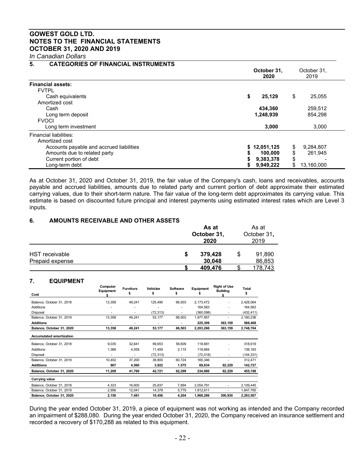*In Canadian Dollars*

## **5. CATEGORIES OF FINANCIAL INSTRUMENTS**

|                                          | October 31,<br>2020 | October 31,<br>2019 |
|------------------------------------------|---------------------|---------------------|
| <b>Financial assets:</b>                 |                     |                     |
| <b>FVTPL</b>                             |                     |                     |
| Cash equivalents                         | \$<br>25,129        | \$<br>25,055        |
| Amortized cost                           |                     |                     |
| Cash                                     | 434,360             | 259,512             |
| Long term deposit                        | 1,248,939           | 854.298             |
| <b>FVOCI</b>                             |                     |                     |
| Long term investment                     | 3,000               | 3.000               |
| Financial liabilities:                   |                     |                     |
| Amortized cost                           |                     |                     |
| Accounts payable and accrued liabilities | \$12,051,125        | \$<br>9,284,807     |
| Amounts due to related party             | 100.000             | \$<br>261.945       |
| Current portion of debt                  | 9,383,378           | \$                  |
| Long-term debt                           | 9,949,222           | 13,160,000<br>\$    |

As at October 31, 2020 and October 31, 2019, the fair value of the Company's cash, loans and receivables, accounts payable and accrued liabilities, amounts due to related party and current portion of debt approximate their estimated carrying values, due to their short-term nature. The fair value of the long-term debt approximates its carrying value. This estimate is based on discounted future principal and interest payments using estimated interest rates which are Level 3 inputs.

## **6. AMOUNTS RECEIVABLE AND OTHER ASSETS**

|                                          |   | As at<br>October 31,<br>2020 |  |                  |  |
|------------------------------------------|---|------------------------------|--|------------------|--|
| <b>HST</b> receivable<br>Prepaid expense | S | 379,428<br>30,048            |  | 91,890<br>86,853 |  |
|                                          |   | 409,476                      |  | 178,743          |  |

## **7. EQUIPMENT**

| Cost                            | Computer<br>Equipment | <b>Furniture</b><br>\$ | <b>Vehicles</b><br>\$ | Software<br>\$ | Equipment<br>5 | <b>Right of Use</b><br><b>Building</b> | Total<br>\$ |
|---------------------------------|-----------------------|------------------------|-----------------------|----------------|----------------|----------------------------------------|-------------|
|                                 |                       |                        |                       |                |                |                                        |             |
| Balance, October 31, 2018       | 13,358                | 49,241                 | 125,490               | 66,503         | 2,173,472      |                                        | 2,428,064   |
| Additions                       |                       |                        |                       |                | 164,583        |                                        | 164,583     |
| Disposal                        | ٠                     | ۰                      | (72, 313)             | ۰              | (360, 098)     | ٠                                      | (432,411)   |
| Balance, October 31, 2019       | 13,358                | 49,241                 | 53,177                | 66,503         | 1,977,957      |                                        | 2,160,236   |
| <b>Additions</b>                | ٠                     | ٠                      | ٠                     |                | 225,309        | 363,159                                | 588,468     |
| Balance, October 31, 2020       | 13,358                | 49,241                 | 53,177                | 66,503         | 2,203,266      | 363,159                                | 2,748,704   |
| <b>Accumulated amortization</b> |                       |                        |                       |                |                |                                        |             |
| Balance, October 31, 2018       | 9,035                 | 32,641                 | 99,653                | 58,609         | 118,681        | ٠                                      | 318,619     |
| Additions                       | 1,366                 | 4,559                  | 11,459                | 2,115          | 118,684        | ٠                                      | 138,183     |
| Disposal                        |                       | ۰                      | (72, 313)             | ٠              | (72, 018)      | ٠                                      | (144,331)   |
| Balance, October 31, 2019       | 10,402                | 37,200                 | 38,800                | 60,724         | 165,346        |                                        | 312,471     |
| <b>Additions</b>                | 807                   | 4,560                  | 3,922                 | 1,575          | 69,634         | 62,229                                 | 142,727     |
| Balance, October 31, 2020       | 11,209                | 41,760                 | 42,721                | 62,299         | 234,980        | 62,229                                 | 455,198     |
| Carrying value                  |                       |                        |                       |                |                |                                        |             |
| Balance, October 31, 2018       | 4,323                 | 16,600                 | 25,837                | 7,894          | 2,054,791      | ٠                                      | 2,109,445   |
| Balance, October 31, 2019       | 2,956                 | 12,041                 | 14,378                | 5,779          | 1,812,611      | ٠                                      | 1,847,765   |
| Balance, October 31, 2020       | 2,150                 | 7,481                  | 10,456                | 4,204          | 1,968,286      | 300,930                                | 2,293,507   |

During the year ended October 31, 2019, a piece of equipment was not working as intended and the Company recorded an impairment of \$288,080. During the year ended October 31, 2020, the Company received an insurance settlement and recorded a recovery of \$170,288 as related to this equipment.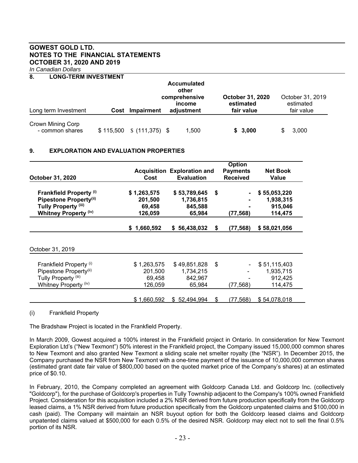*In Canadian Dollars*

## **8. LONG-TERM INVESTMENT**

|                                      |      |                              | <b>Accumulated</b><br>other<br>comprehensive<br>income | <b>October 31, 2020</b><br>estimated | October 31, 2019<br>estimated |
|--------------------------------------|------|------------------------------|--------------------------------------------------------|--------------------------------------|-------------------------------|
| Long term Investment                 | Cost | Impairment                   | adjustment                                             | fair value                           | fair value                    |
| Crown Mining Corp<br>- common shares |      | $$115,500 \t$ (111,375) \t$$ | 1,500                                                  | \$3,000                              | 3,000<br>SS.                  |

## **9. EXPLORATION AND EVALUATION PROPERTIES**

|                                    | <b>Option</b>                      |                   |                 |                 |              |
|------------------------------------|------------------------------------|-------------------|-----------------|-----------------|--------------|
|                                    | <b>Acquisition Exploration and</b> |                   | <b>Payments</b> | <b>Net Book</b> |              |
| October 31, 2020                   | Cost                               | <b>Evaluation</b> |                 | <b>Received</b> | <b>Value</b> |
| <b>Frankfield Property (i)</b>     | \$1,263,575                        | \$53,789,645      | \$              | $\blacksquare$  | \$55,053,220 |
| Pipestone Property(ii)             | 201,500                            | 1,736,815         |                 |                 | 1,938,315    |
| Tully Property <sup>(iii)</sup>    | 69,458                             | 845,588           |                 |                 | 915,046      |
| <b>Whitney Property (iv)</b>       | 126,059                            | 65,984            |                 | (77,568)        | 114,475      |
|                                    | \$1,660,592                        | \$56,438,032      | \$              | (77,568)        | \$58,021,056 |
| October 31, 2019                   |                                    |                   |                 |                 |              |
| Frankfield Property (i)            | \$1,263,575                        | \$49,851,828      | \$              |                 | \$51,115,403 |
| Pipestone Property <sup>(ii)</sup> | 201,500                            | 1,734,215         |                 |                 | 1,935,715    |
| Tully Property <sup>(iii)</sup>    | 69,458                             | 842,967           |                 |                 | 912,425      |
| Whitney Property (iv)              | 126,059                            | 65,984            |                 | (77, 568)       | 114,475      |
|                                    |                                    |                   |                 |                 |              |
|                                    | \$1,660,592                        | \$52,494,994      | S               | (77,568)        | \$54,078,018 |

(i) Frankfield Property

The Bradshaw Project is located in the Frankfield Property.

In March 2009, Gowest acquired a 100% interest in the Frankfield project in Ontario. In consideration for New Texmont Exploration Ltd's ("New Texmont") 50% interest in the Frankfield project, the Company issued 15,000,000 common shares to New Texmont and also granted New Texmont a sliding scale net smelter royalty (the "NSR"). In December 2015, the Company purchased the NSR from New Texmont with a one-time payment of the issuance of 10,000,000 common shares (estimated grant date fair value of \$800,000 based on the quoted market price of the Company's shares) at an estimated price of \$0.10.

In February, 2010, the Company completed an agreement with Goldcorp Canada Ltd. and Goldcorp Inc. (collectively "Goldcorp"), for the purchase of Goldcorp's properties in Tully Township adjacent to the Company's 100% owned Frankfield Project. Consideration for this acquisition included a 2% NSR derived from future production specifically from the Goldcorp leased claims, a 1% NSR derived from future production specifically from the Goldcorp unpatented claims and \$100,000 in cash (paid). The Company will maintain an NSR buyout option for both the Goldcorp leased claims and Goldcorp unpatented claims valued at \$500,000 for each 0.5% of the desired NSR. Goldcorp may elect not to sell the final 0.5% portion of its NSR.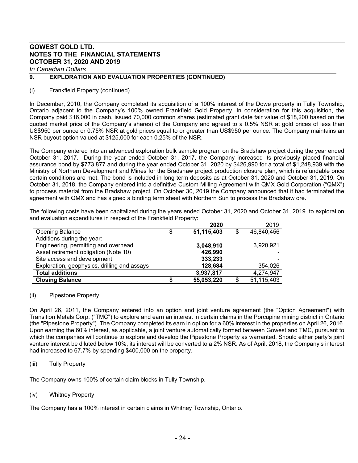*In Canadian Dollars*

## **9. EXPLORATION AND EVALUATION PROPERTIES (CONTINUED)**

## (i) Frankfield Property (continued)

In December, 2010, the Company completed its acquisition of a 100% interest of the Dowe property in Tully Township, Ontario adjacent to the Company's 100% owned Frankfield Gold Property. In consideration for this acquisition, the Company paid \$16,000 in cash, issued 70,000 common shares (estimated grant date fair value of \$18,200 based on the quoted market price of the Company's shares) of the Company and agreed to a 0.5% NSR at gold prices of less than US\$950 per ounce or 0.75% NSR at gold prices equal to or greater than US\$950 per ounce. The Company maintains an NSR buyout option valued at \$125,000 for each 0.25% of the NSR.

The Company entered into an advanced exploration bulk sample program on the Bradshaw project during the year ended October 31, 2017. During the year ended October 31, 2017, the Company increased its previously placed financial assurance bond by \$773,877 and during the year ended October 31, 2020 by \$426,990 for a total of \$1,248,939 with the Ministry of Northern Development and Mines for the Bradshaw project production closure plan, which is refundable once certain conditions are met. The bond is included in long term deposits as at October 31, 2020 and October 31, 2019. On October 31, 2018, the Company entered into a definitive Custom Milling Agreement with QMX Gold Corporation ("QMX") to process material from the Bradshaw project. On October 30, 2019 the Company announced that it had terminated the agreement with QMX and has signed a binding term sheet with Northern Sun to process the Bradshaw ore.

The following costs have been capitalized during the years ended October 31, 2020 and October 31, 2019 to exploration and evaluation expenditures in respect of the Frankfield Property:

|                                              |   | 2020       | 2019       |
|----------------------------------------------|---|------------|------------|
| <b>Opening Balance</b>                       | S | 51,115,403 | 46,840,456 |
| Additions during the year:                   |   |            |            |
| Engineering, permitting and overhead         |   | 3,048,910  | 3,920,921  |
| Asset retirement obligation (Note 10)        |   | 426,990    |            |
| Site access and development                  |   | 333,233    |            |
| Exploration, geophysics, drilling and assays |   | 128,684    | 354,026    |
| <b>Total additions</b>                       |   | 3,937,817  | 4,274,947  |
| <b>Closing Balance</b>                       |   | 55,053,220 | 51,115,403 |

## (ii) Pipestone Property

On April 26, 2011, the Company entered into an option and joint venture agreement (the "Option Agreement") with Transition Metals Corp. ("TMC") to explore and earn an interest in certain claims in the Porcupine mining district in Ontario (the "Pipestone Property"). The Company completed its earn in option for a 60% interest in the properties on April 26, 2016. Upon earning the 60% interest, as applicable, a joint venture automatically formed between Gowest and TMC, pursuant to which the companies will continue to explore and develop the Pipestone Property as warranted. Should either party's joint venture interest be diluted below 10%, its interest will be converted to a 2% NSR. As of April, 2018, the Company's interest had increased to 67.7% by spending \$400,000 on the property.

(iii) Tully Property

The Company owns 100% of certain claim blocks in Tully Township.

## (iv) Whitney Property

The Company has a 100% interest in certain claims in Whitney Township, Ontario.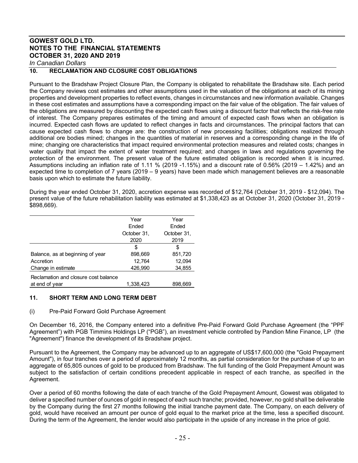*In Canadian Dollars*

## **10. RECLAMATION AND CLOSURE COST OBLIGATIONS**

Pursuant to the Bradshaw Project Closure Plan, the Company is obligated to rehabilitate the Bradshaw site. Each period the Company reviews cost estimates and other assumptions used in the valuation of the obligations at each of its mining properties and development properties to reflect events, changes in circumstances and new information available. Changes in these cost estimates and assumptions have a corresponding impact on the fair value of the obligation. The fair values of the obligations are measured by discounting the expected cash flows using a discount factor that reflects the risk-free rate of interest. The Company prepares estimates of the timing and amount of expected cash flows when an obligation is incurred. Expected cash flows are updated to reflect changes in facts and circumstances. The principal factors that can cause expected cash flows to change are: the construction of new processing facilities; obligations realized through additional ore bodies mined; changes in the quantities of material in reserves and a corresponding change in the life of mine; changing ore characteristics that impact required environmental protection measures and related costs; changes in water quality that impact the extent of water treatment required; and changes in laws and regulations governing the protection of the environment. The present value of the future estimated obligation is recorded when it is incurred. Assumptions including an inflation rate of 1.11 % (2019 -1.15%) and a discount rate of 0.56% (2019 – 1.42%) and an expected time to completion of 7 years (2019 – 9 years) have been made which management believes are a reasonable basis upon which to estimate the future liability.

During the year ended October 31, 2020, accretion expense was recorded of \$12,764 (October 31, 2019 - \$12,094). The present value of the future rehabilitation liability was estimated at \$1,338,423 as at October 31, 2020 (October 31, 2019 - \$898,669).

|                                      | Year        | Year        |
|--------------------------------------|-------------|-------------|
|                                      | Ended       | Ended       |
|                                      | October 31, | October 31, |
|                                      | 2020        | 2019        |
|                                      | \$          | S           |
| Balance, as at beginning of year     | 898,669     | 851,720     |
| Accretion                            | 12,764      | 12,094      |
| Change in estimate                   | 426,990     | 34,855      |
| Reclamation and closure cost balance |             |             |
| at end of year                       | 1.338.423   | 898,669     |

## **11. SHORT TERM AND LONG TERM DEBT**

## (i) Pre-Paid Forward Gold Purchase Agreement

On December 16, 2016, the Company entered into a definitive Pre-Paid Forward Gold Purchase Agreement (the "PPF Agreement") with PGB Timmins Holdings LP ("PGB"), an investment vehicle controlled by Pandion Mine Finance, LP (the "Agreement") finance the development of its Bradshaw project.

Pursuant to the Agreement, the Company may be advanced up to an aggregate of US\$17,600,000 (the "Gold Prepayment Amount"), in four tranches over a period of approximately 12 months, as partial consideration for the purchase of up to an aggregate of 65,805 ounces of gold to be produced from Bradshaw. The full funding of the Gold Prepayment Amount was subject to the satisfaction of certain conditions precedent applicable in respect of each tranche, as specified in the Agreement.

Over a period of 60 months following the date of each tranche of the Gold Prepayment Amount, Gowest was obligated to deliver a specified number of ounces of gold in respect of each such tranche; provided, however, no gold shall be deliverable by the Company during the first 27 months following the initial tranche payment date. The Company, on each delivery of gold, would have received an amount per ounce of gold equal to the market price at the time, less a specified discount. During the term of the Agreement, the lender would also participate in the upside of any increase in the price of gold.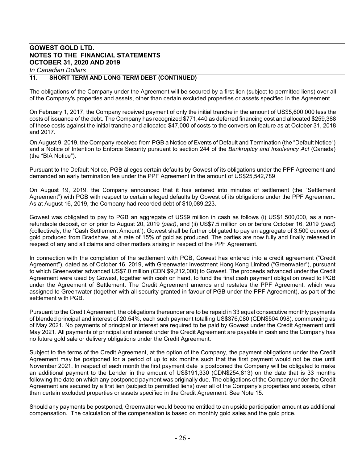## *In Canadian Dollars*

## **11. SHORT TERM AND LONG TERM DEBT (CONTINUED)**

The obligations of the Company under the Agreement will be secured by a first lien (subject to permitted liens) over all of the Company's properties and assets, other than certain excluded properties or assets specified in the Agreement.

On February 1, 2017, the Company received payment of only the initial tranche in the amount of US\$5,600,000 less the costs of issuance of the debt. The Company has recognized \$771,440 as deferred financing cost and allocated \$259,388 of these costs against the initial tranche and allocated \$47,000 of costs to the conversion feature as at October 31, 2018 and 2017.

On August 9, 2019, the Company received from PGB a Notice of Events of Default and Termination (the "Default Notice") and a Notice of Intention to Enforce Security pursuant to section 244 of the *Bankruptcy and Insolvency Act* (Canada) (the "BIA Notice").

Pursuant to the Default Notice, PGB alleges certain defaults by Gowest of its obligations under the PPF Agreement and demanded an early termination fee under the PPF Agreement in the amount of US\$25,542,789

On August 19, 2019, the Company announced that it has entered into minutes of settlement (the "Settlement Agreement") with PGB with respect to certain alleged defaults by Gowest of its obligations under the PPF Agreement. As at August 16, 2019, the Company had recorded debt of \$10,089,223.

Gowest was obligated to pay to PGB an aggregate of US\$9 million in cash as follows (i) US\$1,500,000, as a nonrefundable deposit, on or prior to August 20, 2019 *(paid)*, and (ii) US\$7.5 million on or before October 16, 2019 *(paid) (*collectively, the "Cash Settlement Amount"); Gowest shall be further obligated to pay an aggregate of 3,500 ounces of gold produced from Bradshaw, at a rate of 15% of gold as produced. The parties are now fully and finally released in respect of any and all claims and other matters arising in respect of the PPF Agreement.

In connection with the completion of the settlement with PGB, Gowest has entered into a credit agreement ("Credit Agreement"), dated as of October 16, 2019, with Greenwater Investment Hong Kong Limited ("Greenwater"), pursuant to which Greenwater advanced US\$7.0 million (CDN \$9,212,000) to Gowest. The proceeds advanced under the Credit Agreement were used by Gowest, together with cash on hand, to fund the final cash payment obligation owed to PGB under the Agreement of Settlement. The Credit Agreement amends and restates the PPF Agreement, which was assigned to Greenwater (together with all security granted in favour of PGB under the PPF Agreement), as part of the settlement with PGB.

Pursuant to the Credit Agreement, the obligations thereunder are to be repaid in 33 equal consecutive monthly payments of blended principal and interest of 20.54%, each such payment totalling US\$376,080 (CDN\$504,098), commencing as of May 2021. No payments of principal or interest are required to be paid by Gowest under the Credit Agreement until May 2021. All payments of principal and interest under the Credit Agreement are payable in cash and the Company has no future gold sale or delivery obligations under the Credit Agreement.

Subject to the terms of the Credit Agreement, at the option of the Company, the payment obligations under the Credit Agreement may be postponed for a period of up to six months such that the first payment would not be due until November 2021. In respect of each month the first payment date is postponed the Company will be obligated to make an additional payment to the Lender in the amount of US\$191,330 (CDN\$254,813) on the date that is 33 months following the date on which any postponed payment was originally due. The obligations of the Company under the Credit Agreement are secured by a first lien (subject to permitted liens) over all of the Company's properties and assets, other than certain excluded properties or assets specified in the Credit Agreement. See Note 15.

Should any payments be postponed, Greenwater would become entitled to an upside participation amount as additional compensation. The calculation of the compensation is based on monthly gold sales and the gold price.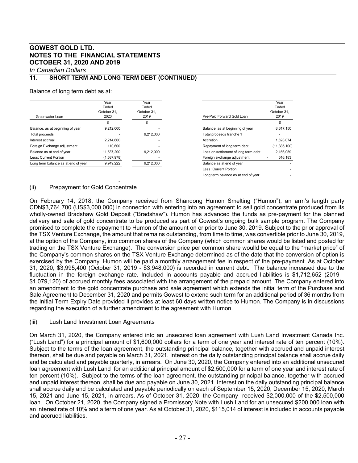*In Canadian Dollars*

## **11. SHORT TERM AND LONG TERM DEBT (CONTINUED)**

#### Balance of long term debt as at:

| Greenwater Loan                     | Year<br>Ended<br>October 31.<br>2020 | Year<br>Ended<br>October 31.<br>2019 | Pre-Paid Forward Gold Loan           | Year<br>Ended<br>October 31.<br>2019 |
|-------------------------------------|--------------------------------------|--------------------------------------|--------------------------------------|--------------------------------------|
|                                     | S                                    | S                                    |                                      |                                      |
| Balance, as at beginning of year    | 9.212.000                            |                                      | Balance, as at beginning of year     | 8.617.150                            |
| Total proceeds                      |                                      | 9.212.000                            | Total proceeds tranche 1             |                                      |
| Interest accrual                    | 2.214.600                            |                                      | Accretion                            | 1.628.074                            |
| Foreign Exchange adjustment         | 110,600                              |                                      | Repayment of long term debt          | (11,885,100)                         |
| Balance as at end of year           | 11.537.200                           | 9.212.000                            | Loss on settlement of long term debt | 2.156.059                            |
| Less: Current Portion               | (1,587,978)                          |                                      | Foreign exchange adjustment          | 516,183                              |
| Long term balance as at end of year | 9,949,222                            | 9,212,000                            | Balance as at end of year            |                                      |
|                                     |                                      |                                      | Less: Current Portion                |                                      |

## (ii) Prepayment for Gold Concentrate

- 100 minutes

On February 14, 2018, the Company received from Shandong Humon Smelting ("Humon"), an arm's length party CDN\$3,764,700 (US\$3,000,000) in connection with entering into an agreement to sell gold concentrate produced from its wholly-owned Bradshaw Gold Deposit ("Bradshaw"). Humon has advanced the funds as pre-payment for the planned delivery and sale of gold concentrate to be produced as part of Gowest's ongoing bulk sample program. The Company promised to complete the repayment to Humon of the amount on or prior to June 30, 2019. Subject to the prior approval of the TSX Venture Exchange, the amount that remains outstanding, from time to time, was convertible prior to June 30, 2019, at the option of the Company, into common shares of the Company (which common shares would be listed and posted for trading on the TSX Venture Exchange). The conversion price per common share woulld be equal to the "market price" of the Company's common shares on the TSX Venture Exchange determined as of the date that the conversion of option is exercised by the Company. Humon will be paid a monthly arrangement fee in respect of the pre-payment. As at October 31, 2020, \$3,995,400 (October 31, 2019 - \$3,948,000) is recorded in current debt. The balance increased due to the fluctuation in the foreign exchange rate. Included in accounts payable and accrued liabilities is \$1,712,652 (2019 - \$1,079,120) of accrued monthly fees associated with the arrangement of the prepaid amount. The Company entered into an amendment to the gold concentrate purchase and sale agreement which extends the initial term of the Purchase and Sale Agreement to December 31, 2020 and permits Gowest to extend such term for an additional period of 36 months from the Initial Term Expiry Date provided it provides at least 60 days written notice to Humon. The Company is in discussions regarding the execution of a further amendment to the agreement with Humon.

Long term balance as at end of year

## (iii) Lush Land Investment Loan Agreements

On March 31, 2020, the Company entered into an unsecured loan agreement with Lush Land Investment Canada Inc. ("Lush Land") for a principal amount of \$1,600,000 dollars for a term of one year and interest rate of ten percent (10%). Subject to the terms of the loan agreement, the outstanding principal balance, together with accrued and unpaid interest thereon, shall be due and payable on March 31, 2021. Interest on the daily outstanding principal balance shall accrue daily and be calculated and payable quarterly, in arrears. On June 30, 2020, the Company entered into an additional unsecured loan agreement with Lush Land for an additional principal amount of \$2,500,000 for a term of one year and interest rate of ten percent (10%). Subject to the terms of the loan agreement, the outstanding principal balance, together with accrued and unpaid interest thereon, shall be due and payable on June 30, 2021. Interest on the daily outstanding principal balance shall accrue daily and be calculated and payable periodically on each of September 15, 2020, December 15, 2020, March 15, 2021 and June 15, 2021, in arrears. As of October 31, 2020, the Company received \$2,000,000 of the \$2,500,000 loan. On October 21, 2020, the Company signed a Promissory Note with Lush Land for an unsecured \$200,000 loan with an interest rate of 10% and a term of one year. As at October 31, 2020, \$115,014 of interest is included in accounts payable and accrued liabilities.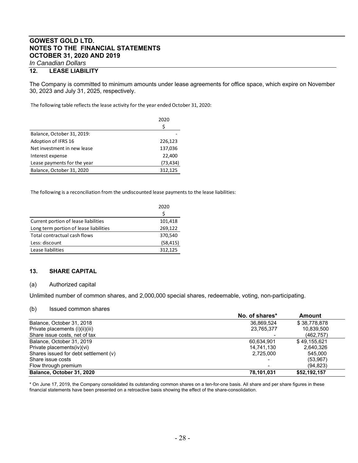## **12. LEASE LIABILITY**

The Company is committed to minimum amounts under lease agreements for office space, which expire on November 30, 2023 and July 31, 2025, respectively.

The following table reflects the lease activity for the year ended October 31, 2020:

|                             | 2020      |
|-----------------------------|-----------|
|                             | \$        |
| Balance, October 31, 2019:  |           |
| Adoption of IFRS 16         | 226,123   |
| Net investment in new lease | 137,036   |
| Interest expense            | 22,400    |
| Lease payments for the year | (73, 434) |
| Balance, October 31, 2020   | 312,125   |

The following is a reconciliation from the undiscounted lease payments to the lease liabilities:

|                                        | 2020<br>Ś |
|----------------------------------------|-----------|
| Current portion of lease liabilities   | 101,418   |
| Long term portion of lease liabilities | 269,122   |
| Total contractual cash flows           | 370,540   |
| Less: discount                         | (58, 415) |
| Lease liabilities                      | 312,125   |

## **13. SHARE CAPITAL**

#### (a) Authorized capital

Unlimited number of common shares, and 2,000,000 special shares, redeemable, voting, non-participating.

#### (b) Issued common shares

|                                       | No. of shares*           | Amount       |
|---------------------------------------|--------------------------|--------------|
| Balance, October 31, 2018             | 36.869.524               | \$38,778,878 |
| Private placements (i)(ii)(iii)       | 23,765,377               | 10,839,500   |
| Share issue costs, net of tax         |                          | (462, 757)   |
| Balance, October 31, 2019             | 60.634.901               | \$49.155.621 |
| Private placements(iv)(vi)            | 14,741,130               | 2,640,326    |
| Shares issued for debt settlement (v) | 2.725.000                | 545.000      |
| Share issue costs                     | $\overline{\phantom{0}}$ | (53,967)     |
| Flow through premium                  |                          | (94, 823)    |
| Balance, October 31, 2020             | 78,101,031               | \$52,192,157 |

\* On June 17, 2019, the Company consolidated its outstanding common shares on a ten-for-one basis. All share and per share figures in these financial statements have been presented on a retroactive basis showing the effect of the share-consolidation.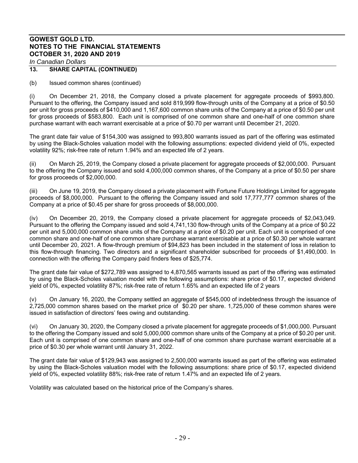## **13. SHARE CAPITAL (CONTINUED)**

(b) Issued common shares (continued)

(i) On December 21, 2018, the Company closed a private placement for aggregate proceeds of \$993,800. Pursuant to the offering, the Company issued and sold 819,999 flow-through units of the Company at a price of \$0.50 per unit for gross proceeds of \$410,000 and 1,167,600 common share units of the Company at a price of \$0.50 per unit for gross proceeds of \$583,800. Each unit is comprised of one common share and one-half of one common share purchase warrant with each warrant exercisable at a price of \$0.70 per warrant until December 21, 2020.

The grant date fair value of \$154,300 was assigned to 993,800 warrants issued as part of the offering was estimated by using the Black-Scholes valuation model with the following assumptions: expected dividend yield of 0%, expected volatility 92%; risk-free rate of return 1.94% and an expected life of 2 years.

(ii) On March 25, 2019, the Company closed a private placement for aggregate proceeds of \$2,000,000. Pursuant to the offering the Company issued and sold 4,000,000 common shares, of the Company at a price of \$0.50 per share for gross proceeds of \$2,000,000.

(iii) On June 19, 2019, the Company closed a private placement with Fortune Future Holdings Limited for aggregate proceeds of \$8,000,000. Pursuant to the offering the Company issued and sold 17,777,777 common shares of the Company at a price of \$0.45 per share for gross proceeds of \$8,000,000.

(iv) On December 20, 2019, the Company closed a private placement for aggregate proceeds of \$2,043,049. Pursuant to the offering the Company issued and sold 4,741,130 flow-through units of the Company at a price of \$0.22 per unit and 5,000,000 common share units of the Company at a price of \$0.20 per unit. Each unit is comprised of one common share and one-half of one common share purchase warrant exercisable at a price of \$0.30 per whole warrant until December 20, 2021. A flow-through premium of \$94,823 has been included in the statement of loss in relation to this flow-through financing. Two directors and a significant shareholder subscribed for proceeds of \$1,490,000. In connection with the offering the Company paid finders fees of \$25,774.

The grant date fair value of \$272,789 was assigned to 4,870,565 warrants issued as part of the offering was estimated by using the Black-Scholes valuation model with the following assumptions: share price of \$0.17, expected dividend yield of 0%, expected volatility 87%; risk-free rate of return 1.65% and an expected life of 2 years

(v) On January 16, 2020, the Company settled an aggregate of \$545,000 of indebtedness through the issuance of 2,725,000 common shares based on the market price of \$0.20 per share. 1,725,000 of these common shares were issued in satisfaction of directors' fees owing and outstanding.

(vi) On January 30, 2020, the Company closed a private placement for aggregate proceeds of \$1,000,000. Pursuant to the offering the Company issued and sold 5,000,000 common share units of the Company at a price of \$0.20 per unit. Each unit is comprised of one common share and one-half of one common share purchase warrant exercisable at a price of \$0.30 per whole warrant until January 31, 2022.

The grant date fair value of \$129,943 was assigned to 2,500,000 warrants issued as part of the offering was estimated by using the Black-Scholes valuation model with the following assumptions: share price of \$0.17, expected dividend yield of 0%, expected volatility 88%; risk-free rate of return 1.47% and an expected life of 2 years.

Volatility was calculated based on the historical price of the Company's shares.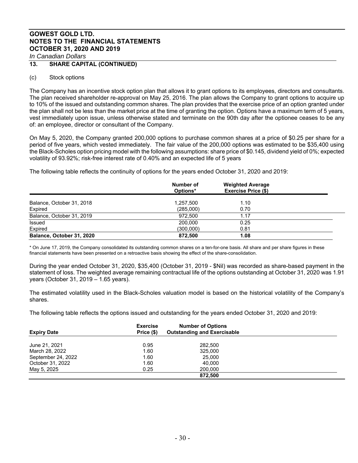## **13. SHARE CAPITAL (CONTINUED)**

## (c) Stock options

The Company has an incentive stock option plan that allows it to grant options to its employees, directors and consultants. The plan received shareholder re-approval on May 25, 2016. The plan allows the Company to grant options to acquire up to 10% of the issued and outstanding common shares. The plan provides that the exercise price of an option granted under the plan shall not be less than the market price at the time of granting the option. Options have a maximum term of 5 years, vest immediately upon issue, unless otherwise stated and terminate on the 90th day after the optionee ceases to be any of: an employee, director or consultant of the Company.

On May 5, 2020, the Company granted 200,000 options to purchase common shares at a price of \$0.25 per share for a period of five years, which vested immediately. The fair value of the 200,000 options was estimated to be \$35,400 using the Black-Scholes option pricing model with the following assumptions: share price of \$0.145, dividend yield of 0%; expected volatility of 93.92%; risk-free interest rate of 0.40% and an expected life of 5 years

The following table reflects the continuity of options for the years ended October 31, 2020 and 2019:

|                           | Number of<br>Options* | <b>Weighted Average</b><br><b>Exercise Price (\$)</b> |  |
|---------------------------|-----------------------|-------------------------------------------------------|--|
| Balance, October 31, 2018 | 1,257,500             | 1.10                                                  |  |
| Expired                   | (285,000)             | 0.70                                                  |  |
| Balance, October 31, 2019 | 972.500               | 1.17                                                  |  |
| <b>Issued</b>             | 200,000               | 0.25                                                  |  |
| Expired                   | (300,000)             | 0.81                                                  |  |
| Balance, October 31, 2020 | 872.500               | 1.08                                                  |  |

\* On June 17, 2019, the Company consolidated its outstanding common shares on a ten-for-one basis. All share and per share figures in these financial statements have been presented on a retroactive basis showing the effect of the share-consolidation.

During the year ended October 31, 2020, \$35,400 (October 31, 2019 - \$Nil) was recorded as share-based payment in the statement of loss. The weighted average remaining contractual life of the options outstanding at October 31, 2020 was 1.91 years (October 31, 2019 – 1.65 years).

The estimated volatility used in the Black-Scholes valuation model is based on the historical volatility of the Company's shares.

The following table reflects the options issued and outstanding for the years ended October 31, 2020 and 2019:

| <b>Expiry Date</b> | <b>Exercise</b><br>Price (\$) | <b>Number of Options</b><br><b>Outstanding and Exercisable</b> |  |
|--------------------|-------------------------------|----------------------------------------------------------------|--|
| June 21, 2021      | 0.95                          | 282,500                                                        |  |
| March 28, 2022     | 1.60                          | 325,000                                                        |  |
| September 24, 2022 | 1.60                          | 25,000                                                         |  |
| October 31, 2022   | 1.60                          | 40.000                                                         |  |
| May 5, 2025        | 0.25                          | 200,000                                                        |  |
|                    |                               | 872.500                                                        |  |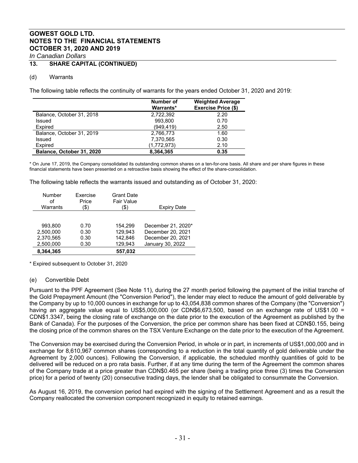## **13. SHARE CAPITAL (CONTINUED)**

## (d) Warrants

The following table reflects the continuity of warrants for the years ended October 31, 2020 and 2019:

|                           | Number of<br>Warrants* | <b>Weighted Average</b><br><b>Exercise Price (\$)</b> |
|---------------------------|------------------------|-------------------------------------------------------|
| Balance, October 31, 2018 | 2.722.392              | 2.20                                                  |
| Issued                    | 993.800                | 0.70                                                  |
| Expired                   | (949,419)              | 2.50                                                  |
| Balance, October 31, 2019 | 2,766,773              | 1.60                                                  |
| Issued                    | 7,370,565              | 0.30                                                  |
| Expired                   | (1,772,973)            | 2.10                                                  |
| Balance, October 31, 2020 | 8,364,365              | 0.35                                                  |

\* On June 17, 2019, the Company consolidated its outstanding common shares on a ten-for-one basis. All share and per share figures in these financial statements have been presented on a retroactive basis showing the effect of the share-consolidation.

The following table reflects the warrants issued and outstanding as of October 31, 2020:

| Number    | Fxercise | <b>Grant Date</b> | <b>Expiry Date</b> |
|-----------|----------|-------------------|--------------------|
| οf        | Price    | <b>Fair Value</b> |                    |
| Warrants  | \$`      | \$                |                    |
| 993.800   | 0.70     | 154.299           | December 21, 2020* |
| 2,500,000 | 0.30     | 129.943           | December 20, 2021  |
| 2,370,565 | 0.30     | 142.846           | December 20, 2021  |
| 2,500,000 | 0.30     | 129,943           | January 30, 2022   |
| 8.364.365 |          | 557.032           |                    |

\* Expired subsequent to October 31, 2020

## (e) Convertible Debt

Pursuant to the PPF Agreement (See Note 11), during the 27 month period following the payment of the initial tranche of the Gold Prepayment Amount (the "Conversion Period"), the lender may elect to reduce the amount of gold deliverable by the Company by up to 10,000 ounces in exchange for up to 43,054,838 common shares of the Company (the "Conversion") having an aggregate value equal to US\$5,000,000 (or CDN\$6,673,500, based on an exchange rate of US\$1.00 = CDN\$1.3347, being the closing rate of exchange on the date prior to the execution of the Agreement as published by the Bank of Canada). For the purposes of the Conversion, the price per common share has been fixed at CDN\$0.155, being the closing price of the common shares on the TSX Venture Exchange on the date prior to the execution of the Agreement.

The Conversion may be exercised during the Conversion Period, in whole or in part, in increments of US\$1,000,000 and in exchange for 8,610,967 common shares (corresponding to a reduction in the total quantity of gold deliverable under the Agreement by 2,000 ounces). Following the Conversion, if applicable, the scheduled monthly quantities of gold to be delivered will be reduced on a pro rata basis. Further, if at any time during the term of the Agreement the common shares of the Company trade at a price greater than CDN\$0.465 per share (being a trading price three (3) times the Conversion price) for a period of twenty (20) consecutive trading days, the lender shall be obligated to consummate the Conversion.

As August 16, 2019, the conversion period had expired with the signing of the Settlement Agreement and as a result the Company reallocated the conversion component recognized in equity to retained earnings.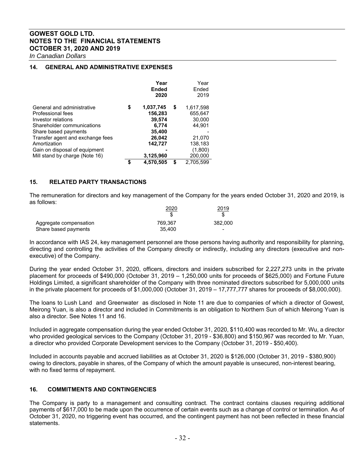*In Canadian Dollars*

## **14. GENERAL AND ADMINISTRATIVE EXPENSES**

|                                  | Year            | Year            |
|----------------------------------|-----------------|-----------------|
|                                  | <b>Ended</b>    | Ended           |
|                                  | 2020            | 2019            |
| General and administrative       | \$<br>1,037,745 | \$<br>1,617,598 |
| Professional fees                | 156,283         | 655,647         |
| Investor relations               | 39,574          | 30,000          |
| Shareholder communications       | 6,774           | 44,901          |
| Share based payments             | 35,400          |                 |
| Transfer agent and exchange fees | 26,042          | 21,070          |
| Amortization                     | 142,727         | 138,183         |
| Gain on disposal of equipment    |                 | (1,800)         |
| Mill stand by charge (Note 16)   | 3,125,960       | 200,000         |
|                                  | \$<br>4,570,505 | \$<br>2.705.599 |

## **15. RELATED PARTY TRANSACTIONS**

The remuneration for directors and key management of the Company for the years ended October 31, 2020 and 2019, is as follows:

|                        | 2020    | 2019    |
|------------------------|---------|---------|
|                        |         |         |
| Aggregate compensation | 769.367 | 382,000 |
| Share based payments   | 35.400  | $\sim$  |

In accordance with IAS 24, key management personnel are those persons having authority and responsibility for planning, directing and controlling the activities of the Company directly or indirectly, including any directors (executive and nonexecutive) of the Company.

During the year ended October 31, 2020, officers, directors and insiders subscribed for 2,227,273 units in the private placement for proceeds of \$490,000 (October 31, 2019 – 1,250,000 units for proceeds of \$625,000) and Fortune Future Holdings Limited, a significant shareholder of the Company with three nominated directors subscribed for 5,000,000 units in the private placement for proceeds of \$1,000,000 (October 31, 2019 – 17,777,777 shares for proceeds of \$8,000,000).

The loans to Lush Land and Greenwater as disclosed in Note 11 are due to companies of which a director of Gowest, Meirong Yuan, is also a director and included in Commitments is an obligation to Northern Sun of which Meirong Yuan is also a director. See Notes 11 and 16.

Included in aggregate compensation during the year ended October 31, 2020, \$110,400 was recorded to Mr. Wu, a director who provided geological services to the Company (October 31, 2019 - \$36,800) and \$150,967 was recorded to Mr. Yuan, a director who provided Corporate Development services to the Company (October 31, 2019 - \$50,400).

Included in accounts payable and accrued liabilities as at October 31, 2020 is \$126,000 (October 31, 2019 - \$380,900) owing to directors, payable in shares, of the Company of which the amount payable is unsecured, non-interest bearing, with no fixed terms of repayment.

## **16. COMMITMENTS AND CONTINGENCIES**

The Company is party to a management and consulting contract. The contract contains clauses requiring additional payments of \$617,000 to be made upon the occurrence of certain events such as a change of control or termination. As of October 31, 2020, no triggering event has occurred, and the contingent payment has not been reflected in these financial statements.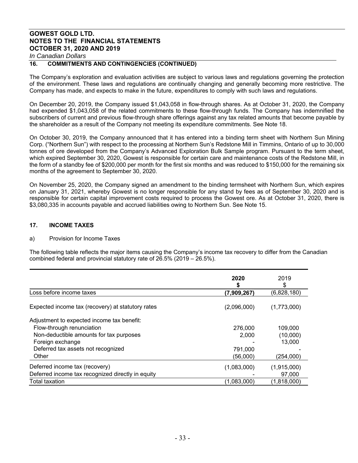## **16. COMMITMENTS AND CONTINGENCIES (CONTINUED)**

The Company's exploration and evaluation activities are subject to various laws and regulations governing the protection of the environment. These laws and regulations are continually changing and generally becoming more restrictive. The Company has made, and expects to make in the future, expenditures to comply with such laws and regulations.

On December 20, 2019, the Company issued \$1,043,058 in flow-through shares. As at October 31, 2020, the Company had expended \$1,043,058 of the related commitments to these flow-through funds. The Company has indemnified the subscribers of current and previous flow-through share offerings against any tax related amounts that become payable by the shareholder as a result of the Company not meeting its expenditure commitments. See Note 18.

On October 30, 2019, the Company announced that it has entered into a binding term sheet with Northern Sun Mining Corp. ("Northern Sun") with respect to the processing at Northern Sun's Redstone Mill in Timmins, Ontario of up to 30,000 tonnes of ore developed from the Company's Advanced Exploration Bulk Sample program. Pursuant to the term sheet, which expired September 30, 2020, Gowest is responsible for certain care and maintenance costs of the Redstone Mill, in the form of a standby fee of \$200,000 per month for the first six months and was reduced to \$150,000 for the remaining six months of the agreement to September 30, 2020.

On November 25, 2020, the Company signed an amendment to the binding termsheet with Northern Sun, which expires on January 31, 2021, whereby Gowest is no longer responsible for any stand by fees as of September 30, 2020 and is responsible for certain capital improvement costs required to process the Gowest ore. As at October 31, 2020, there is \$3,080,335 in accounts payable and accrued liabilities owing to Northern Sun. See Note 15.

## **17. INCOME TAXES**

## a) Provision for Income Taxes

The following table reflects the major items causing the Company's income tax recovery to differ from the Canadian combined federal and provincial statutory rate of 26.5% (2019 – 26.5%).

|                                                   | 2020<br>S   | 2019<br>\$  |
|---------------------------------------------------|-------------|-------------|
| Loss before income taxes                          | (7,909,267) | (6,828,180) |
| Expected income tax (recovery) at statutory rates | (2,096,000) | (1,773,000) |
| Adjustment to expected income tax benefit:        |             |             |
| Flow-through renunciation                         | 276,000     | 109,000     |
| Non-deductible amounts for tax purposes           | 2,000       | (10,000)    |
| Foreign exchange                                  |             | 13,000      |
| Deferred tax assets not recognized                | 791,000     |             |
| Other                                             | (56,000)    | (254,000)   |
| Deferred income tax (recovery)                    | (1,083,000) | (1,915,000) |
| Deferred income tax recognized directly in equity |             | 97,000      |
| Total taxation                                    | (1,083,000) | (1,818,000) |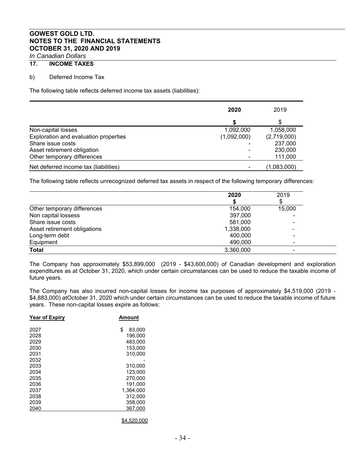## **17. INCOME TAXES**

## b) Deferred Income Tax

The following table reflects deferred income tax assets (liabilities):

|                                       | 2020        | 2019        |  |
|---------------------------------------|-------------|-------------|--|
|                                       |             | S           |  |
| Non-capital losses                    | 1,092,000   | 1,058,000   |  |
| Exploration and evaluation properties | (1,092,000) | (2,719,000) |  |
| Share issue costs                     |             | 237,000     |  |
| Asset retirement obligation           |             | 230,000     |  |
| Other temporary differences           |             | 111,000     |  |
| Net deferred income tax (liabilities) |             | (1,083,000) |  |

The following table reflects unrecognized deferred tax assets in respect of the following temporary differences:

|                              | 2020      | 2019                     |  |
|------------------------------|-----------|--------------------------|--|
|                              |           |                          |  |
| Other temporary differences  | 154,000   | 15,000                   |  |
| Non capital lossess          | 397,000   |                          |  |
| Share issue costs            | 581,000   | -                        |  |
| Asset retirement obligations | 1,338,000 | $\overline{\phantom{0}}$ |  |
| Long-term debt               | 400,000   | ۰                        |  |
| Equipment                    | 490,000   |                          |  |
| <b>Total</b>                 | 3,360,000 |                          |  |

The Company has approximately \$53,899,000 (2019 - \$43,600,000) of Canadian development and exploration expenditures as at October 31, 2020, which under certain circumstances can be used to reduce the taxable income of future years.

The Company has also incurred non-capital losses for income tax purposes of approximately \$4,519,000 (2019 - \$4,883,000) atOctober 31, 2020 which under certain circumstances can be used to reduce the taxable income of future years. These non-capital losses expire as follows:

| <b>Year of Expiry</b> | Amount       |
|-----------------------|--------------|
| 2027                  | \$<br>83.000 |
| 2028                  | 196.000      |
| 2029                  | 483.000      |
| 2030                  | 153.000      |
| 2031                  | 310.000      |
| 2032                  |              |
| 2033                  | 310,000      |
| 2034                  | 123.000      |
| 2035                  | 270,000      |
| 2036                  | 191.000      |
| 2037                  | 1.364.000    |
| 2038                  | 312,000      |
| 2039                  | 358,000      |
| 2040                  | 367,000      |
|                       |              |

\$4,520,000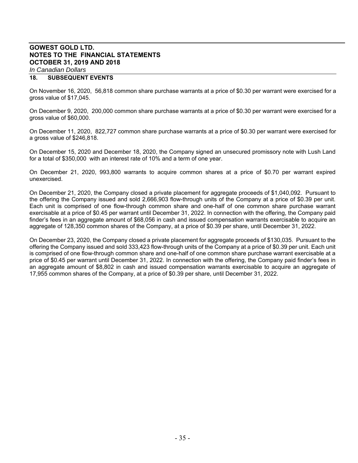## *In Canadian Dollars*

## **18. SUBSEQUENT EVENTS**

On November 16, 2020, 56,818 common share purchase warrants at a price of \$0.30 per warrant were exercised for a gross value of \$17,045.

On December 9, 2020, 200,000 common share purchase warrants at a price of \$0.30 per warrant were exercised for a gross value of \$60,000.

On December 11, 2020, 822,727 common share purchase warrants at a price of \$0.30 per warrant were exercised for a gross value of \$246,818.

On December 15, 2020 and December 18, 2020, the Company signed an unsecured promissory note with Lush Land for a total of \$350,000 with an interest rate of 10% and a term of one year.

On December 21, 2020, 993,800 warrants to acquire common shares at a price of \$0.70 per warrant expired unexercised.

On December 21, 2020, the Company closed a private placement for aggregate proceeds of \$1,040,092. Pursuant to the offering the Company issued and sold 2,666,903 flow-through units of the Company at a price of \$0.39 per unit. Each unit is comprised of one flow-through common share and one-half of one common share purchase warrant exercisable at a price of \$0.45 per warrant until December 31, 2022. In connection with the offering, the Company paid finder's fees in an aggregate amount of \$68,056 in cash and issued compensation warrants exercisable to acquire an aggregate of 128,350 common shares of the Company, at a price of \$0.39 per share, until December 31, 2022.

On December 23, 2020, the Company closed a private placement for aggregate proceeds of \$130,035. Pursuant to the offering the Company issued and sold 333,423 flow-through units of the Company at a price of \$0.39 per unit. Each unit is comprised of one flow-through common share and one-half of one common share purchase warrant exercisable at a price of \$0.45 per warrant until December 31, 2022. In connection with the offering, the Company paid finder's fees in an aggregate amount of \$8,802 in cash and issued compensation warrants exercisable to acquire an aggregate of 17,955 common shares of the Company, at a price of \$0.39 per share, until December 31, 2022.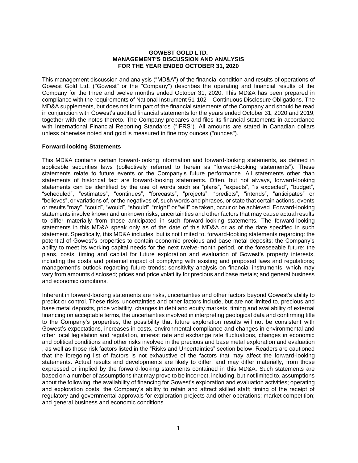#### **GOWEST GOLD LTD. MANAGEMENT'S DISCUSSION AND ANALYSIS FOR THE YEAR ENDED OCTOBER 31, 2020**

This management discussion and analysis ("MD&A") of the financial condition and results of operations of Gowest Gold Ltd. ("Gowest" or the "Company") describes the operating and financial results of the Company for the three and twelve months ended October 31, 2020. This MD&A has been prepared in compliance with the requirements of National Instrument 51-102 – Continuous Disclosure Obligations. The MD&A supplements, but does not form part of the financial statements of the Company and should be read in conjunction with Gowest's audited financial statements for the years ended October 31, 2020 and 2019, together with the notes thereto. The Company prepares and files its financial statements in accordance with International Financial Reporting Standards ("IFRS"). All amounts are stated in Canadian dollars unless otherwise noted and gold is measured in fine troy ounces ("ounces").

## **Forward-looking Statements**

This MD&A contains certain forward-looking information and forward-looking statements, as defined in applicable securities laws (collectively referred to herein as "forward-looking statements"). These statements relate to future events or the Company's future performance. All statements other than statements of historical fact are forward-looking statements. Often, but not always, forward-looking statements can be identified by the use of words such as "plans", "expects", "is expected", "budget", "scheduled", "estimates", "continues", "forecasts", "projects", "predicts", "intends", "anticipates" or "believes", or variations of, or the negatives of, such words and phrases, or state that certain actions, events or results "may", "could", "would", "should", "might" or "will" be taken, occur or be achieved. Forward-looking statements involve known and unknown risks, uncertainties and other factors that may cause actual results to differ materially from those anticipated in such forward-looking statements. The forward-looking statements in this MD&A speak only as of the date of this MD&A or as of the date specified in such statement. Specifically, this MD&A includes, but is not limited to, forward-looking statements regarding: the potential of Gowest's properties to contain economic precious and base metal deposits; the Company's ability to meet its working capital needs for the next twelve-month period, or the foreseeable future; the plans, costs, timing and capital for future exploration and evaluation of Gowest's property interests, including the costs and potential impact of complying with existing and proposed laws and regulations; management's outlook regarding future trends; sensitivity analysis on financial instruments, which may vary from amounts disclosed; prices and price volatility for precious and base metals; and general business and economic conditions.

Inherent in forward-looking statements are risks, uncertainties and other factors beyond Gowest's ability to predict or control. These risks, uncertainties and other factors include, but are not limited to, precious and base metal deposits, price volatility, changes in debt and equity markets, timing and availability of external financing on acceptable terms, the uncertainties involved in interpreting geological data and confirming title to the Company's properties, the possibility that future exploration results will not be consistent with Gowest's expectations, increases in costs, environmental compliance and changes in environmental and other local legislation and regulation, interest rate and exchange rate fluctuations, changes in economic and political conditions and other risks involved in the precious and base metal exploration and evaluation , as well as those risk factors listed in the "Risks and Uncertainties" section below. Readers are cautioned that the foregoing list of factors is not exhaustive of the factors that may affect the forward-looking statements. Actual results and developments are likely to differ, and may differ materially, from those expressed or implied by the forward-looking statements contained in this MD&A. Such statements are based on a number of assumptions that may prove to be incorrect, including, but not limited to, assumptions about the following: the availability of financing for Gowest's exploration and evaluation activities; operating and exploration costs; the Company's ability to retain and attract skilled staff; timing of the receipt of regulatory and governmental approvals for exploration projects and other operations; market competition; and general business and economic conditions.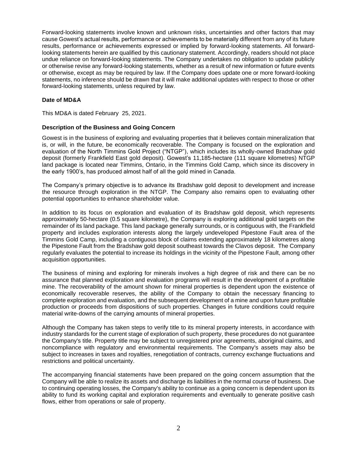Forward-looking statements involve known and unknown risks, uncertainties and other factors that may cause Gowest's actual results, performance or achievements to be materially different from any of its future results, performance or achievements expressed or implied by forward-looking statements. All forwardlooking statements herein are qualified by this cautionary statement. Accordingly, readers should not place undue reliance on forward-looking statements. The Company undertakes no obligation to update publicly or otherwise revise any forward-looking statements, whether as a result of new information or future events or otherwise, except as may be required by law. If the Company does update one or more forward-looking statements, no inference should be drawn that it will make additional updates with respect to those or other forward-looking statements, unless required by law.

## **Date of MD&A**

This MD&A is dated February 25, 2021.

## **Description of the Business and Going Concern**

Gowest is in the business of exploring and evaluating properties that it believes contain mineralization that is, or will, in the future, be economically recoverable. The Company is focused on the exploration and evaluation of the North Timmins Gold Project ("NTGP"), which includes its wholly-owned Bradshaw gold deposit (formerly Frankfield East gold deposit). Gowest's 11,185-hectare (111 square kilometres) NTGP land package is located near Timmins, Ontario, in the Timmins Gold Camp, which since its discovery in the early 1900's, has produced almost half of all the gold mined in Canada.

The Company's primary objective is to advance its Bradshaw gold deposit to development and increase the resource through exploration in the NTGP. The Company also remains open to evaluating other potential opportunities to enhance shareholder value.

In addition to its focus on exploration and evaluation of its Bradshaw gold deposit, which represents approximately 50-hectare (0.5 square kilometre), the Company is exploring additional gold targets on the remainder of its land package. This land package generally surrounds, or is contiguous with, the Frankfield property and includes exploration interests along the largely undeveloped Pipestone Fault area of the Timmins Gold Camp, including a contiguous block of claims extending approximately 18 kilometres along the Pipestone Fault from the Bradshaw gold deposit southeast towards the Clavos deposit. The Company regularly evaluates the potential to increase its holdings in the vicinity of the Pipestone Fault, among other acquisition opportunities.

The business of mining and exploring for minerals involves a high degree of risk and there can be no assurance that planned exploration and evaluation programs will result in the development of a profitable mine. The recoverability of the amount shown for mineral properties is dependent upon the existence of economically recoverable reserves, the ability of the Company to obtain the necessary financing to complete exploration and evaluation, and the subsequent development of a mine and upon future profitable production or proceeds from dispositions of such properties. Changes in future conditions could require material write-downs of the carrying amounts of mineral properties.

Although the Company has taken steps to verify title to its mineral property interests, in accordance with industry standards for the current stage of exploration of such property, these procedures do not guarantee the Company's title. Property title may be subject to unregistered prior agreements, aboriginal claims, and noncompliance with regulatory and environmental requirements. The Company's assets may also be subject to increases in taxes and royalties, renegotiation of contracts, currency exchange fluctuations and restrictions and political uncertainty.

The accompanying financial statements have been prepared on the going concern assumption that the Company will be able to realize its assets and discharge its liabilities in the normal course of business. Due to continuing operating losses, the Company's ability to continue as a going concern is dependent upon its ability to fund its working capital and exploration requirements and eventually to generate positive cash flows, either from operations or sale of property.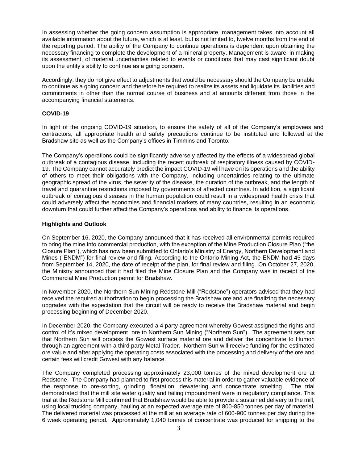In assessing whether the going concern assumption is appropriate, management takes into account all available information about the future, which is at least, but is not limited to, twelve months from the end of the reporting period. The ability of the Company to continue operations is dependent upon obtaining the necessary financing to complete the development of a mineral property. Management is aware, in making its assessment, of material uncertainties related to events or conditions that may cast significant doubt upon the entity's ability to continue as a going concern.

Accordingly, they do not give effect to adjustments that would be necessary should the Company be unable to continue as a going concern and therefore be required to realize its assets and liquidate its liabilities and commitments in other than the normal course of business and at amounts different from those in the accompanying financial statements.

#### **COVID-19**

In light of the ongoing COVID-19 situation, to ensure the safety of all of the Company's employees and contractors, all appropriate health and safety precautions continue to be instituted and followed at the Bradshaw site as well as the Company's offices in Timmins and Toronto.

The Company's operations could be significantly adversely affected by the effects of a widespread global outbreak of a contagious disease, including the recent outbreak of respiratory illness caused by COVID-19. The Company cannot accurately predict the impact COVID-19 will have on its operations and the ability of others to meet their obligations with the Company, including uncertainties relating to the ultimate geographic spread of the virus, the severity of the disease, the duration of the outbreak, and the length of travel and quarantine restrictions imposed by governments of affected countries. In addition, a significant outbreak of contagious diseases in the human population could result in a widespread health crisis that could adversely affect the economies and financial markets of many countries, resulting in an economic downturn that could further affect the Company's operations and ability to finance its operations.

#### **Highlights and Outlook**

On September 16, 2020, the Company announced that it has received all environmental permits required to bring the mine into commercial production, with the exception of the Mine Production Closure Plan ("the Closure Plan"), which has now been submitted to Ontario's Ministry of Energy, Northern Development and Mines ("ENDM") for final review and filing. According to the Ontario Mining Act, the ENDM had 45-days from September 14, 2020, the date of receipt of the plan, for final review and filing. On October 27, 2020, the Ministry announced that it had filed the Mine Closure Plan and the Company was in receipt of the Commercial Mine Production permit for Bradshaw.

In November 2020, the Northern Sun Mining Redstone Mill ("Redstone") operators advised that they had received the required authorization to begin processing the Bradshaw ore and are finalizing the necessary upgrades with the expectation that the circuit will be ready to receive the Bradshaw material and begin processing beginning of December 2020.

In December 2020, the Company executed a 4 party agreement whereby Gowest assigned the rights and control of it's mixed development ore to Northern Sun Mining ("Northern Sun"). The agreement sets out that Northern Sun will process the Gowest surface material ore and deliver the concentrate to Humon through an agreement with a third party Metal Trader. Northern Sun will receive funding for the estimated ore value and after applying the operating costs associated with the processing and delivery of the ore and certain fees will credit Gowest with any balance.

The Company completed processing approximately 23,000 tonnes of the mixed development ore at Redstone. The Company had planned to first process this material in order to gather valuable evidence of the response to ore-sorting, grinding, floatation, dewatering and concentrate smelting. The trial demonstrated that the mill site water quality and tailing impoundment were in regulatory compliance. This trial at the Redstone Mill confirmed that Bradshaw would be able to provide a sustained delivery to the mill, using local trucking company, hauling at an expected average rate of 800-850 tonnes per day of material. The delivered material was processed at the mill at an average rate of 600-900 tonnes per day during the 6 week operating period. Approximately 1,040 tonnes of concentrate was produced for shipping to the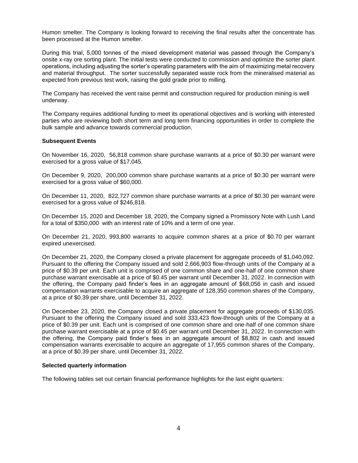Humon smelter. The Company is looking forward to receiving the final results after the concentrate has been processed at the Humon smelter.

During this trial, 5,000 tonnes of the mixed development material was passed through the Company's onsite x-ray ore sorting plant. The initial tests were conducted to commission and optimize the sorter plant operations, including adjusting the sorter's operating parameters with the aim of maximizing metal recovery and material throughput. The sorter successfully separated waste rock from the mineralised material as expected from previous test work, raising the gold grade prior to milling.

The Company has received the vent raise permit and construction required for production mining is well underway.

The Company requires additional funding to meet its operational objectives and is working with interested parties who are reviewing both short term and long term financing opportunities in order to complete the bulk sample and advance towards commercial production.

#### **Subsequent Events**

On November 16, 2020, 56,818 common share purchase warrants at a price of \$0.30 per warrant were exercised for a gross value of \$17,045.

On December 9, 2020, 200,000 common share purchase warrants at a price of \$0.30 per warrant were exercised for a gross value of \$60,000.

On December 11, 2020, 822,727 common share purchase warrants at a price of \$0.30 per warrant were exercised for a gross value of \$246,818.

On December 15, 2020 and December 18, 2020, the Company signed a Promissory Note with Lush Land for a total of \$350,000 with an interest rate of 10% and a term of one year.

On December 21, 2020, 993,800 warrants to acquire common shares at a price of \$0.70 per warrant expired unexercised.

On December 21, 2020, the Company closed a private placement for aggregate proceeds of \$1,040,092. Pursuant to the offering the Company issued and sold 2,666,903 flow-through units of the Company at a price of \$0.39 per unit. Each unit is comprised of one common share and one-half of one common share purchase warrant exercisable at a price of \$0.45 per warrant until December 31, 2022. In connection with the offering, the Company paid finder's fees in an aggregate amount of \$68,056 in cash and issued compensation warrants exercisable to acquire an aggregate of 128,350 common shares of the Company, at a price of \$0.39 per share, until December 31, 2022.

On December 23, 2020, the Company closed a private placement for aggregate proceeds of \$130,035. Pursuant to the offering the Company issued and sold 333,423 flow-through units of the Company at a price of \$0.39 per unit. Each unit is comprised of one common share and one-half of one common share purchase warrant exercisable at a price of \$0.45 per warrant until December 31, 2022. In connection with the offering, the Company paid finder's fees in an aggregate amount of \$8,802 in cash and issued compensation warrants exercisable to acquire an aggregate of 17,955 common shares of the Company, at a price of \$0.39 per share, until December 31, 2022.

#### **Selected quarterly information**

The following tables set out certain financial performance highlights for the last eight quarters: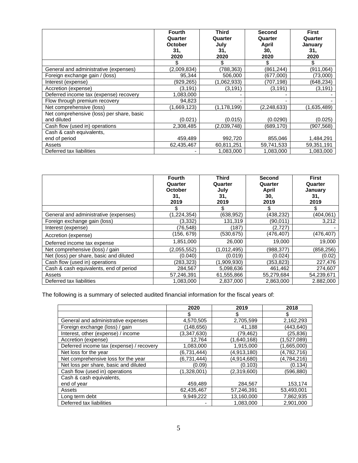|                                           | <b>Fourth</b><br>Quarter<br><b>October</b><br>31.<br>2020 | Third<br>Quarter<br>July<br>31,<br>2020 | Second<br>Quarter<br>April<br>30,<br>2020 | <b>First</b><br>Quarter<br>January<br>31,<br>2020 |
|-------------------------------------------|-----------------------------------------------------------|-----------------------------------------|-------------------------------------------|---------------------------------------------------|
|                                           | \$                                                        | \$                                      | \$                                        | S                                                 |
| General and administrative (expenses)     | (2,009,834)                                               | (788,363)                               | (861, 244)                                | (911, 064)                                        |
| Foreign exchange gain / (loss)            | 95,344                                                    | 506,000                                 | (677,000)                                 | (73,000)                                          |
| Interest (expense)                        | (929,265)                                                 | (1,062,933)                             | (707,198)                                 | (648,234)                                         |
| Accretion (expense)                       | (3,191)                                                   | (3, 191)                                | (3, 191)                                  | (3, 191)                                          |
| Deferred income tax (expense) recovery    | 1,083,000                                                 |                                         |                                           |                                                   |
| Flow through premium recovery             | 94,823                                                    |                                         |                                           |                                                   |
| Net comprehensive (loss)                  | (1,669,123)                                               | (1,178,199)                             | (2,248,633)                               | (1,635,489)                                       |
| Net comprehensive (loss) per share, basic |                                                           |                                         |                                           |                                                   |
| and diluted                               | (0.021)                                                   | (0.015)                                 | (0.0290)                                  | (0.025)                                           |
| Cash flow (used in) operations            | 2,308,485                                                 | (2,039,748)                             | (689,170)                                 | (907,568)                                         |
| Cash & cash equivalents,                  |                                                           |                                         |                                           |                                                   |
| end of period                             | 459,489                                                   | 992,720                                 | 855,046                                   | 1,484,291                                         |
| Assets                                    | 62,435,467                                                | 60,811,251                              | 59,741,533                                | 59,351,191                                        |
| Deferred tax liabilities                  |                                                           | 1,083,000                               | 1,083,000                                 | 1,083,000                                         |

|                                         | <b>Fourth</b><br>Quarter<br><b>October</b><br>31.<br>2019 | <b>Third</b><br>Quarter<br>July<br>31.<br>2019 | <b>Second</b><br>Quarter<br>April<br>30,<br>2019 | <b>First</b><br>Quarter<br>January<br>31,<br>2019 |
|-----------------------------------------|-----------------------------------------------------------|------------------------------------------------|--------------------------------------------------|---------------------------------------------------|
|                                         |                                                           | \$                                             |                                                  |                                                   |
| General and administrative (expenses)   | (1,224,354)                                               | (638,952)                                      | (438,232)                                        | (404,061)                                         |
| Foreign exchange gain (loss)            | (3,332)                                                   | 131,319                                        | (90, 011)                                        | 3,212                                             |
| Interest (expense)                      | (76, 548)                                                 | (187)                                          | (2,727)                                          |                                                   |
| Accretion (expense)                     | (156, 679)                                                | (530, 675)                                     | (476, 407)                                       | (476, 407)                                        |
| Deferred income tax expense             | 1,851,000                                                 | 26,000                                         | 19,000                                           | 19,000                                            |
| Net comprehensive (loss) / gain         | (2,055,552)                                               | (1,012,495)                                    | (988,377)                                        | (858, 256)                                        |
| Net (loss) per share, basic and diluted | (0.040)                                                   | (0.019)                                        | (0.024)                                          | (0.02)                                            |
| Cash flow (used in) operations          | (283, 323)                                                | (1,909,930)                                    | (353,823)                                        | 227,476                                           |
| Cash & cash equivalents, end of period  | 284,567                                                   | 5,098,636                                      | 461,462                                          | 274,607                                           |
| Assets                                  | 57,246,391                                                | 61,555,866                                     | 55,279,684                                       | 54,239,671                                        |
| Deferred tax liabilities                | 1,083,000                                                 | 2,837,000                                      | 2,863,000                                        | 2.882,000                                         |

The following is a summary of selected audited financial information for the fiscal years of:

|                                          | 2020        | 2019        | 2018        |
|------------------------------------------|-------------|-------------|-------------|
|                                          |             |             | \$          |
| General and administrative expenses      | 4,570,505   | 2,705,599   | 2,162,293   |
| Foreign exchange (loss) / gain           | (148,656)   | 41,188      | (443.640)   |
| Interest, other (expense) / income       | (3,347,630) | (79.462)    | (25, 836)   |
| Accretion (expense)                      | 12,764      | (1,640,168) | (1,527,089) |
| Deferred income tax (expense) / recovery | 1,083,000   | 1,915,000   | (1,665,000) |
| Net loss for the year                    | (6,731,444) | (4,913,180) | (4,782,716) |
| Net comprehensive loss for the year      | (6,731,444) | (4,914,680) | (4,784,216) |
| Net loss per share, basic and diluted    | (0.09)      | (0.103)     | (0.134)     |
| Cash flow (used in) operations           | (1,328,001) | (2,319,600) | (596,880)   |
| Cash & cash equivalents,                 |             |             |             |
| end of year                              | 459,489     | 284,567     | 153,174     |
| Assets                                   | 62,435,467  | 57,246,391  | 53,493,001  |
| Long term debt                           | 9.949.222   | 13.160.000  | 7,862,935   |
| Deferred tax liabilities                 |             | 1,083,000   | 2,901,000   |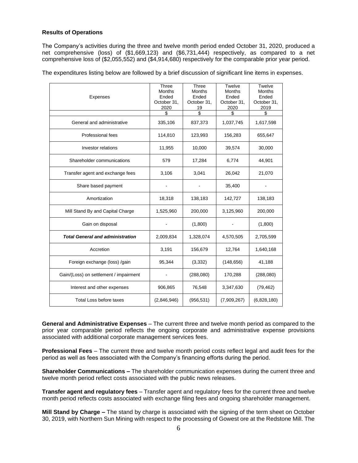## **Results of Operations**

The Company's activities during the three and twelve month period ended October 31, 2020, produced a net comprehensive (loss) of (\$1,669,123) and (\$6,731,444) respectively, as compared to a net comprehensive loss of (\$2,055,552) and (\$4,914,680) respectively for the comparable prior year period.

The expenditures listing below are followed by a brief discussion of significant line items in expenses.

| Expenses                                | Three<br><b>Months</b><br>Ended<br>October 31,<br>2020<br>\$ | Three<br><b>Months</b><br>Ended<br>October 31,<br>19<br>\$ | Twelve<br><b>Months</b><br>Ended<br>October 31,<br>2020<br>\$ | Twelve<br>Months<br>Ended<br>October 31,<br>2019<br>\$ |
|-----------------------------------------|--------------------------------------------------------------|------------------------------------------------------------|---------------------------------------------------------------|--------------------------------------------------------|
| General and administrative              | 335,106                                                      | 837,373                                                    | 1,037,745                                                     | 1,617,598                                              |
| <b>Professional fees</b>                | 114,810                                                      | 123,993                                                    | 156,283                                                       | 655,647                                                |
| Investor relations                      | 11,955                                                       | 10,000                                                     | 39,574                                                        | 30,000                                                 |
| Shareholder communications              | 579                                                          | 17,284                                                     | 6,774                                                         | 44,901                                                 |
| Transfer agent and exchange fees        | 3,106                                                        | 3,041                                                      | 26,042                                                        | 21,070                                                 |
| Share based payment                     |                                                              |                                                            | 35,400                                                        |                                                        |
| Amortization                            | 18,318                                                       | 138,183                                                    | 142,727                                                       | 138,183                                                |
| Mill Stand By and Capital Charge        | 1,525,960                                                    | 200,000                                                    | 3,125,960                                                     | 200,000                                                |
| Gain on disposal                        |                                                              | (1,800)                                                    |                                                               | (1,800)                                                |
| <b>Total General and administration</b> | 2,009,834                                                    | 1,328,074                                                  | 4,570,505                                                     | 2,705,599                                              |
| Accretion                               | 3,191                                                        | 156,679                                                    | 12,764                                                        | 1,640,168                                              |
| Foreign exchange (loss) /gain           | 95,344                                                       | (3, 332)                                                   | (148, 656)                                                    | 41,188                                                 |
| Gain/(Loss) on settlement / impairment  |                                                              | (288,080)                                                  | 170,288                                                       | (288,080)                                              |
| Interest and other expenses             | 906,865                                                      | 76,548                                                     | 3,347,630                                                     | (79, 462)                                              |
| Total Loss before taxes                 | (2,846,946)                                                  | (956, 531)                                                 | (7,909,267)                                                   | (6,828,180)                                            |

**General and Administrative Expenses** – The current three and twelve month period as compared to the prior year comparable period reflects the ongoing corporate and administrative expense provisions associated with additional corporate management services fees.

**Professional Fees** – The current three and twelve month period costs reflect legal and audit fees for the period as well as fees associated with the Company's financing efforts during the period.

**Shareholder Communications –** The shareholder communication expenses during the current three and twelve month period reflect costs associated with the public news releases.

**Transfer agent and regulatory fees** – Transfer agent and regulatory fees for the current three and twelve month period reflects costs associated with exchange filing fees and ongoing shareholder management.

**Mill Stand by Charge –** The stand by charge is associated with the signing of the term sheet on October 30, 2019, with Northern Sun Mining with respect to the processing of Gowest ore at the Redstone Mill. The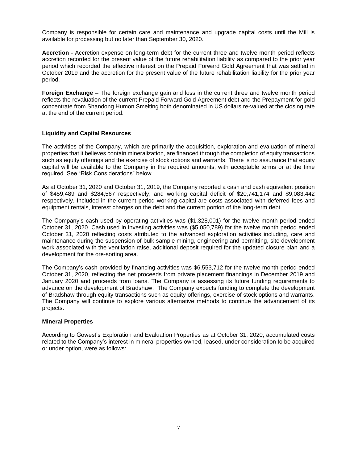Company is responsible for certain care and maintenance and upgrade capital costs until the Mill is available for processing but no later than September 30, 2020.

**Accretion -** Accretion expense on long-term debt for the current three and twelve month period reflects accretion recorded for the present value of the future rehabilitation liability as compared to the prior year period which recorded the effective interest on the Prepaid Forward Gold Agreement that was settled in October 2019 and the accretion for the present value of the future rehabilitation liability for the prior year period.

**Foreign Exchange –** The foreign exchange gain and loss in the current three and twelve month period reflects the revaluation of the current Prepaid Forward Gold Agreement debt and the Prepayment for gold concentrate from Shandong Humon Smelting both denominated in US dollars re-valued at the closing rate at the end of the current period.

## **Liquidity and Capital Resources**

The activities of the Company, which are primarily the acquisition, exploration and evaluation of mineral properties that it believes contain mineralization, are financed through the completion of equity transactions such as equity offerings and the exercise of stock options and warrants. There is no assurance that equity capital will be available to the Company in the required amounts, with acceptable terms or at the time required. See "Risk Considerations" below.

As at October 31, 2020 and October 31, 2019, the Company reported a cash and cash equivalent position of \$459,489 and \$284,567 respectively, and working capital deficit of \$20,741,174 and \$9,083,442 respectively. Included in the current period working capital are costs associated with deferred fees and equipment rentals, interest charges on the debt and the current portion of the long-term debt.

The Company's cash used by operating activities was (\$1,328,001) for the twelve month period ended October 31, 2020. Cash used in investing activities was (\$5,050,789) for the twelve month period ended October 31, 2020 reflecting costs attributed to the advanced exploration activities including, care and maintenance during the suspension of bulk sample mining, engineering and permitting, site development work associated with the ventilation raise, additional deposit required for the updated closure plan and a development for the ore-sorting area.

The Company's cash provided by financing activities was \$6,553,712 for the twelve month period ended October 31, 2020, reflecting the net proceeds from private placement financings in December 2019 and January 2020 and proceeds from loans. The Company is assessing its future funding requirements to advance on the development of Bradshaw. The Company expects funding to complete the development of Bradshaw through equity transactions such as equity offerings, exercise of stock options and warrants. The Company will continue to explore various alternative methods to continue the advancement of its projects.

#### **Mineral Properties**

According to Gowest's Exploration and Evaluation Properties as at October 31, 2020, accumulated costs related to the Company's interest in mineral properties owned, leased, under consideration to be acquired or under option, were as follows: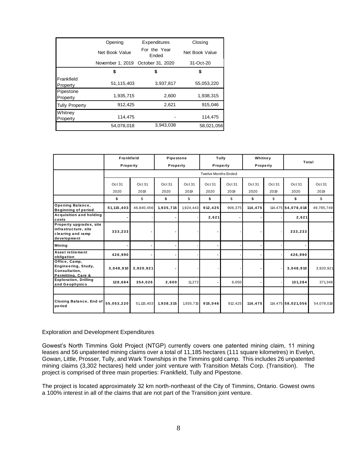|                        | Opening          | Expenditures          | Closing        |
|------------------------|------------------|-----------------------|----------------|
|                        | Net Book Value   | For the Year<br>Ended | Net Book Value |
|                        | November 1, 2019 | October 31, 2020      | 31-Oct-20      |
|                        | \$               | \$                    | \$             |
| Frankfield<br>Property | 51,115,403       | 3,937,817             | 55,053,220     |
| Pipestone<br>Property  | 1,935,715        | 2,600                 | 1,938,315      |
| <b>Tully Property</b>  | 912,425          | 2,621                 | 915,046        |
| Whitney<br>Property    | 114.475          |                       | 114,475        |
|                        | 54,078,018       | 3,943,038             | 58,021,056     |

|                                                                                     | Frankfield<br>Property |                | Pipestone<br>Property |                |                            | Tully<br>Property | Whitney<br>Property |                | Total              |                |
|-------------------------------------------------------------------------------------|------------------------|----------------|-----------------------|----------------|----------------------------|-------------------|---------------------|----------------|--------------------|----------------|
|                                                                                     |                        |                |                       |                | <b>Twelve Months Ended</b> |                   |                     |                |                    |                |
|                                                                                     | Oct 31<br>2020         | Oct 31<br>2019 | Oct 31<br>2020        | Oct 31<br>2019 | Oct 31<br>2020             | Oct 31<br>2019    | Oct 31<br>2020      | Oct 31<br>2019 | Oct31<br>2020      | Oct 31<br>2019 |
|                                                                                     | \$                     | \$             | \$                    | \$             | \$                         | \$                | \$                  | \$             | \$                 | \$             |
| Opening Balance,<br><b>Beginning of period</b>                                      | 51, 115, 403           | 46,840,456     | 1,935,715             | 1,924,443      | 912,425                    | 906,375           | 114,475             |                | 114,475 54,078,018 | 49,785,749     |
| <b>Acquisition and holding</b><br>costs                                             |                        |                |                       |                | 2,621                      |                   |                     |                | 2,621              |                |
| Property upgrades, site<br>infrastructure, site<br>clearing and ramp<br>development | 333,233                |                |                       |                |                            |                   |                     |                | 333,233            |                |
| Mining                                                                              |                        |                |                       |                |                            |                   |                     |                |                    |                |
| Asset retirement<br>obligation                                                      | 426,990                |                |                       |                |                            |                   |                     |                | 426,990            |                |
| Office, Camp,<br>Engineering, Study,<br>Consultation.<br>Permitting, Care &         | 3,048,910              | 3,920,921      |                       |                |                            |                   |                     |                | 3,048,910          | 3,920,921      |
| <b>Exploration, Drilling</b><br>and Geophysics                                      | 128,684                | 354,026        | 2,600                 | 11,272         |                            | 6,050             |                     |                | 131,284            | 371,348        |
|                                                                                     |                        |                |                       |                |                            |                   |                     |                |                    |                |
| Closing Balance, End of<br>period                                                   | 55,053,220             | 51,115,403     | 1,938,315             | 1,935,715      | 915,046                    | 912,425           | 114,475             |                | 114,475 58,021,056 | 54,078,018     |

#### Exploration and Development Expenditures

Gowest's North Timmins Gold Project (NTGP) currently covers one patented mining claim, 11 mining leases and 56 unpatented mining claims over a total of 11,185 hectares (111 square kilometres) in Evelyn, Gowan, Little, Prosser, Tully, and Wark Townships in the Timmins gold camp. This includes 26 unpatented mining claims (3,302 hectares) held under joint venture with Transition Metals Corp. (Transition). The project is comprised of three main properties: Frankfield, Tully and Pipestone.

The project is located approximately 32 km north-northeast of the City of Timmins, Ontario. Gowest owns a 100% interest in all of the claims that are not part of the Transition joint venture.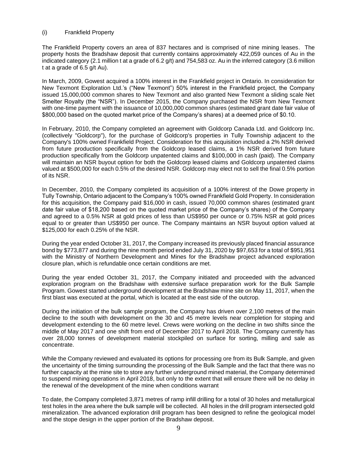## (i) Frankfield Property

The Frankfield Property covers an area of 837 hectares and is comprised of nine mining leases. The property hosts the Bradshaw deposit that currently contains approximately 422,059 ounces of Au in the indicated category (2.1 million t at a grade of 6.2 g/t) and 754,583 oz. Au in the inferred category (3.6 million t at a grade of 6.5 g/t Au).

In March, 2009, Gowest acquired a 100% interest in the Frankfield project in Ontario. In consideration for New Texmont Exploration Ltd.'s ("New Texmont") 50% interest in the Frankfield project, the Company issued 15,000,000 common shares to New Texmont and also granted New Texmont a sliding scale Net Smelter Royalty (the "NSR"). In December 2015, the Company purchased the NSR from New Texmont with one-time payment with the issuance of 10,000,000 common shares (estimated grant date fair value of \$800,000 based on the quoted market price of the Company's shares) at a deemed price of \$0.10.

In February, 2010, the Company completed an agreement with Goldcorp Canada Ltd. and Goldcorp Inc. (collectively "Goldcorp"), for the purchase of Goldcorp's properties in Tully Township adjacent to the Company's 100% owned Frankfield Project. Consideration for this acquisition included a 2% NSR derived from future production specifically from the Goldcorp leased claims, a 1% NSR derived from future production specifically from the Goldcorp unpatented claims and \$100,000 in cash (paid). The Company will maintain an NSR buyout option for both the Goldcorp leased claims and Goldcorp unpatented claims valued at \$500,000 for each 0.5% of the desired NSR. Goldcorp may elect not to sell the final 0.5% portion of its NSR.

In December, 2010, the Company completed its acquisition of a 100% interest of the Dowe property in Tully Township, Ontario adjacent to the Company's 100% owned Frankfield Gold Property. In consideration for this acquisition, the Company paid \$16,000 in cash, issued 70,000 common shares (estimated grant date fair value of \$18,200 based on the quoted market price of the Company's shares) of the Company and agreed to a 0.5% NSR at gold prices of less than US\$950 per ounce or 0.75% NSR at gold prices equal to or greater than US\$950 per ounce. The Company maintains an NSR buyout option valued at \$125,000 for each 0.25% of the NSR.

During the year ended October 31, 2017, the Company increased its previously placed financial assurance bond by \$773,877 and during the nine month period ended July 31, 2020 by \$97,653 for a total of \$951,951 with the Ministry of Northern Development and Mines for the Bradshaw project advanced exploration closure plan, which is refundable once certain conditions are met.

During the year ended October 31, 2017, the Company initiated and proceeded with the advanced exploration program on the Bradshaw with extensive surface preparation work for the Bulk Sample Program. Gowest started underground development at the Bradshaw mine site on May 11, 2017, when the first blast was executed at the portal, which is located at the east side of the outcrop.

During the initiation of the bulk sample program, the Company has driven over 2,100 metres of the main decline to the south with development on the 30 and 45 metre levels near completion for stoping and development extending to the 60 metre level. Crews were working on the decline in two shifts since the middle of May 2017 and one shift from end of December 2017 to April 2018. The Company currently has over 28,000 tonnes of development material stockpiled on surface for sorting, milling and sale as concentrate.

While the Company reviewed and evaluated its options for processing ore from its Bulk Sample, and given the uncertainty of the timing surrounding the processing of the Bulk Sample and the fact that there was no further capacity at the mine site to store any further underground mined material, the Company determined to suspend mining operations in April 2018, but only to the extent that will ensure there will be no delay in the renewal of the development of the mine when conditions warrant

To date, the Company completed 3,871 metres of ramp infill drilling for a total of 30 holes and metallurgical test holes in the area where the bulk sample will be collected. All holes in the drill program intersected gold mineralization. The advanced exploration drill program has been designed to refine the geological model and the stope design in the upper portion of the Bradshaw deposit.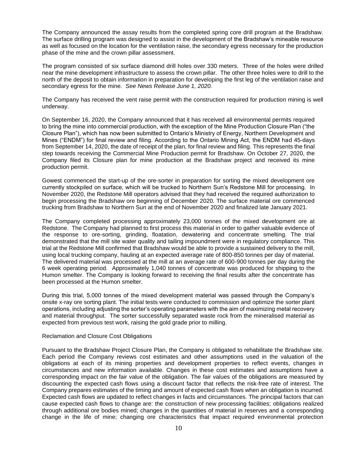The Company announced the assay results from the completed spring core drill program at the Bradshaw. The surface drilling program was designed to assist in the development of the Bradshaw's mineable resource as well as focused on the location for the ventilation raise, the secondary egress necessary for the production phase of the mine and the crown pillar assessment.

The program consisted of six surface diamond drill holes over 330 meters. Three of the holes were drilled near the mine development infrastructure to assess the crown pillar. The other three holes were to drill to the north of the deposit to obtain information in preparation for developing the first leg of the ventilation raise and secondary egress for the mine. *See News Release June 1, 2020.*

The Company has received the vent raise permit with the construction required for production mining is well underway.

On September 16, 2020, the Company announced that it has received all environmental permits required to bring the mine into commercial production, with the exception of the Mine Production Closure Plan ("the Closure Plan"), which has now been submitted to Ontario's Ministry of Energy, Northern Development and Mines ("ENDM") for final review and filing. According to the Ontario Mining Act, the ENDM had 45-days from September 14, 2020, the date of receipt of the plan, for final review and filing. This represents the final step towards receiving the Commercial Mine Production permit for Bradshaw. On October 27, 2020, the Company filed its Closure plan for mine production at the Bradshaw project and received its mine production permit.

Gowest commenced the start-up of the ore-sorter in preparation for sorting the mixed development ore currently stockpiled on surface, which will be trucked to Northern Sun's Redstone Mill for processing. In November 2020, the Redstone Mill operators advised that they had received the required authorization to begin processing the Bradshaw ore beginning of December 2020. The surface material ore commenced trucking from Bradshaw to Northern Sun at the end of November 2020 and finalized late January 2021.

The Company completed processing approximately 23,000 tonnes of the mixed development ore at Redstone. The Company had planned to first process this material in order to gather valuable evidence of the response to ore-sorting, grinding, floatation, dewatering and concentrate smelting. The trial demonstrated that the mill site water quality and tailing impoundment were in regulatory compliance. This trial at the Redstone Mill confirmed that Bradshaw would be able to provide a sustained delivery to the mill, using local trucking company, hauling at an expected average rate of 800-850 tonnes per day of material. The delivered material was processed at the mill at an average rate of 600-900 tonnes per day during the 6 week operating period. Approximately 1,040 tonnes of concentrate was produced for shipping to the Humon smelter. The Company is looking forward to receiving the final results after the concentrate has been processed at the Humon smelter.

During this trial, 5,000 tonnes of the mixed development material was passed through the Company's onsite x-ray ore sorting plant. The initial tests were conducted to commission and optimize the sorter plant operations, including adjusting the sorter's operating parameters with the aim of maximizing metal recovery and material throughput. The sorter successfully separated waste rock from the mineralised material as expected from previous test work, raising the gold grade prior to milling.

#### Reclamation and Closure Cost Obligations

Pursuant to the Bradshaw Project Closure Plan, the Company is obligated to rehabilitate the Bradshaw site. Each period the Company reviews cost estimates and other assumptions used in the valuation of the obligations at each of its mining properties and development properties to reflect events, changes in circumstances and new information available. Changes in these cost estimates and assumptions have a corresponding impact on the fair value of the obligation. The fair values of the obligations are measured by discounting the expected cash flows using a discount factor that reflects the risk-free rate of interest. The Company prepares estimates of the timing and amount of expected cash flows when an obligation is incurred. Expected cash flows are updated to reflect changes in facts and circumstances. The principal factors that can cause expected cash flows to change are: the construction of new processing facilities; obligations realized through additional ore bodies mined; changes in the quantities of material in reserves and a corresponding change in the life of mine; changing ore characteristics that impact required environmental protection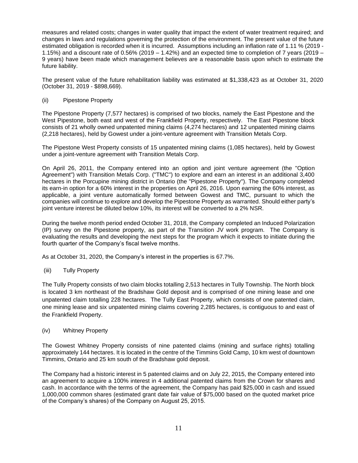measures and related costs; changes in water quality that impact the extent of water treatment required; and changes in laws and regulations governing the protection of the environment. The present value of the future estimated obligation is recorded when it is incurred. Assumptions including an inflation rate of 1.11 % (2019 - 1.15%) and a discount rate of 0.56% (2019 – 1.42%) and an expected time to completion of 7 years (2019 – 9 years) have been made which management believes are a reasonable basis upon which to estimate the future liability.

The present value of the future rehabilitation liability was estimated at \$1,338,423 as at October 31, 2020 (October 31, 2019 - \$898,669).

## (ii) Pipestone Property

The Pipestone Property (7,577 hectares) is comprised of two blocks, namely the East Pipestone and the West Pipestone, both east and west of the Frankfield Property, respectively. The East Pipestone block consists of 21 wholly owned unpatented mining claims (4,274 hectares) and 12 unpatented mining claims (2,218 hectares), held by Gowest under a joint-venture agreement with Transition Metals Corp.

The Pipestone West Property consists of 15 unpatented mining claims (1,085 hectares), held by Gowest under a joint-venture agreement with Transition Metals Corp.

On April 26, 2011, the Company entered into an option and joint venture agreement (the "Option Agreement") with Transition Metals Corp. ("TMC") to explore and earn an interest in an additional 3,400 hectares in the Porcupine mining district in Ontario (the "Pipestone Property"). The Company completed its earn-in option for a 60% interest in the properties on April 26, 2016. Upon earning the 60% interest, as applicable, a joint venture automatically formed between Gowest and TMC, pursuant to which the companies will continue to explore and develop the Pipestone Property as warranted. Should either party's joint venture interest be diluted below 10%, its interest will be converted to a 2% NSR.

During the twelve month period ended October 31, 2018, the Company completed an Induced Polarization (IP) survey on the Pipestone property, as part of the Transition JV work program. The Company is evaluating the results and developing the next steps for the program which it expects to initiate during the fourth quarter of the Company's fiscal twelve months.

As at October 31, 2020, the Company's interest in the properties is 67.7%.

(iii) Tully Property

The Tully Property consists of two claim blocks totalling 2,513 hectares in Tully Township. The North block is located 3 km northeast of the Bradshaw Gold deposit and is comprised of one mining lease and one unpatented claim totalling 228 hectares. The Tully East Property, which consists of one patented claim, one mining lease and six unpatented mining claims covering 2,285 hectares, is contiguous to and east of the Frankfield Property.

## (iv) Whitney Property

The Gowest Whitney Property consists of nine patented claims (mining and surface rights) totalling approximately 144 hectares. It is located in the centre of the Timmins Gold Camp, 10 km west of downtown Timmins, Ontario and 25 km south of the Bradshaw gold deposit.

The Company had a historic interest in 5 patented claims and on July 22, 2015, the Company entered into an agreement to acquire a 100% interest in 4 additional patented claims from the Crown for shares and cash. In accordance with the terms of the agreement, the Company has paid \$25,000 in cash and issued 1,000,000 common shares (estimated grant date fair value of \$75,000 based on the quoted market price of the Company's shares) of the Company on August 25, 2015.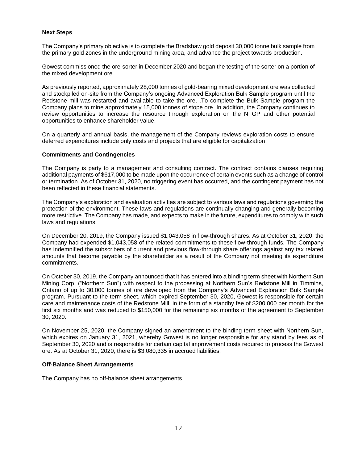## **Next Steps**

The Company's primary objective is to complete the Bradshaw gold deposit 30,000 tonne bulk sample from the primary gold zones in the underground mining area, and advance the project towards production.

Gowest commissioned the ore-sorter in December 2020 and began the testing of the sorter on a portion of the mixed development ore.

As previously reported, approximately 28,000 tonnes of gold-bearing mixed development ore was collected and stockpiled on-site from the Company's ongoing Advanced Exploration Bulk Sample program until the Redstone mill was restarted and available to take the ore. .To complete the Bulk Sample program the Company plans to mine approximately 15,000 tonnes of stope ore. In addition, the Company continues to review opportunities to increase the resource through exploration on the NTGP and other potential opportunities to enhance shareholder value.

On a quarterly and annual basis, the management of the Company reviews exploration costs to ensure deferred expenditures include only costs and projects that are eligible for capitalization.

## **Commitments and Contingencies**

The Company is party to a management and consulting contract. The contract contains clauses requiring additional payments of \$617,000 to be made upon the occurrence of certain events such as a change of control or termination. As of October 31, 2020, no triggering event has occurred, and the contingent payment has not been reflected in these financial statements.

The Company's exploration and evaluation activities are subject to various laws and regulations governing the protection of the environment. These laws and regulations are continually changing and generally becoming more restrictive. The Company has made, and expects to make in the future, expenditures to comply with such laws and regulations.

On December 20, 2019, the Company issued \$1,043,058 in flow-through shares. As at October 31, 2020, the Company had expended \$1,043,058 of the related commitments to these flow-through funds. The Company has indemnified the subscribers of current and previous flow-through share offerings against any tax related amounts that become payable by the shareholder as a result of the Company not meeting its expenditure commitments.

On October 30, 2019, the Company announced that it has entered into a binding term sheet with Northern Sun Mining Corp. ("Northern Sun") with respect to the processing at Northern Sun's Redstone Mill in Timmins, Ontario of up to 30,000 tonnes of ore developed from the Company's Advanced Exploration Bulk Sample program. Pursuant to the term sheet, which expired September 30, 2020, Gowest is responsible for certain care and maintenance costs of the Redstone Mill, in the form of a standby fee of \$200,000 per month for the first six months and was reduced to \$150,000 for the remaining six months of the agreement to September 30, 2020.

On November 25, 2020, the Company signed an amendment to the binding term sheet with Northern Sun, which expires on January 31, 2021, whereby Gowest is no longer responsible for any stand by fees as of September 30, 2020 and is responsible for certain capital improvement costs required to process the Gowest ore. As at October 31, 2020, there is \$3,080,335 in accrued liabilities.

## **Off-Balance Sheet Arrangements**

The Company has no off-balance sheet arrangements.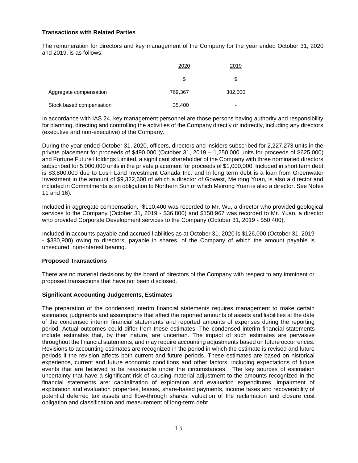## **Transactions with Related Parties**

The remuneration for directors and key management of the Company for the year ended October 31, 2020 and 2019, is as follows:

|                          | 2020    | 2019    |  |
|--------------------------|---------|---------|--|
|                          | \$      | S       |  |
| Aggregate compensation   | 769,367 | 382,000 |  |
| Stock based compensation | 35,400  |         |  |

In accordance with IAS 24, key management personnel are those persons having authority and responsibility for planning, directing and controlling the activities of the Company directly or indirectly, including any directors (executive and non-executive) of the Company.

During the year ended October 31, 2020, officers, directors and insiders subscribed for 2,227,273 units in the private placement for proceeds of \$490,000 (October 31, 2019 – 1,250,000 units for proceeds of \$625,000) and Fortune Future Holdings Limited, a significant shareholder of the Company with three nominated directors subscribed for 5,000,000 units in the private placement for proceeds of \$1,000,000. Included in short term debt is \$3,800,000 due to Lush Land Investment Canada Inc. and in long term debt is a loan from Greenwater Investment in the amount of \$9,322,600 of which a director of Gowest, Meirong Yuan, is also a director and included in Commitments is an obligation to Northern Sun of which Meirong Yuan is also a director. See Notes 11 and 16).

Included in aggregate compensation, \$110,400 was recorded to Mr. Wu, a director who provided geological services to the Company (October 31, 2019 - \$36,800) and \$150,967 was recorded to Mr. Yuan, a director who provided Corporate Development services to the Company (October 31, 2019 - \$50,400).

Included in accounts payable and accrued liabilities as at October 31, 2020 is \$126,000 (October 31, 2019 - \$380,900) owing to directors, payable in shares, of the Company of which the amount payable is unsecured, non-interest bearing.

## **Proposed Transactions**

There are no material decisions by the board of directors of the Company with respect to any imminent or proposed transactions that have not been disclosed.

## **Significant Accounting Judgements, Estimates**

The preparation of the condensed interim financial statements requires management to make certain estimates, judgments and assumptions that affect the reported amounts of assets and liabilities at the date of the condensed interim financial statements and reported amounts of expenses during the reporting period. Actual outcomes could differ from these estimates. The condensed interim financial statements include estimates that, by their nature, are uncertain. The impact of such estimates are pervasive throughout the financial statements, and may require accounting adjustments based on future occurrences. Revisions to accounting estimates are recognized in the period in which the estimate is revised and future periods if the revision affects both current and future periods. These estimates are based on historical experience, current and future economic conditions and other factors, including expectations of future events that are believed to be reasonable under the circumstances. The key sources of estimation uncertainty that have a significant risk of causing material adjustment to the amounts recognized in the financial statements are: capitalization of exploration and evaluation expenditures, impairment of exploration and evaluation properties, leases, share-based payments, income taxes and recoverability of potential deferred tax assets and flow-through shares, valuation of the reclamation and closure cost obligation and classification and measurement of long-term debt.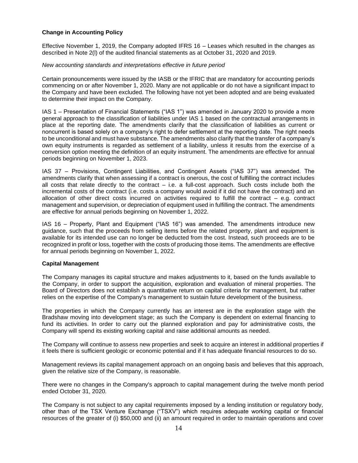## **Change in Accounting Policy**

Effective November 1, 2019, the Company adopted IFRS 16 – Leases which resulted in the changes as described in Note 2(l) of the audited financial statements as at October 31, 2020 and 2019.

#### *New accounting standards and interpretations effective in future period*

Certain pronouncements were issued by the IASB or the IFRIC that are mandatory for accounting periods commencing on or after November 1, 2020. Many are not applicable or do not have a significant impact to the Company and have been excluded. The following have not yet been adopted and are being evaluated to determine their impact on the Company.

IAS 1 – Presentation of Financial Statements ("IAS 1") was amended in January 2020 to provide a more general approach to the classification of liabilities under IAS 1 based on the contractual arrangements in place at the reporting date. The amendments clarify that the classification of liabilities as current or noncurrent is based solely on a company's right to defer settlement at the reporting date. The right needs to be unconditional and must have substance. The amendments also clarify that the transfer of a company's own equity instruments is regarded as settlement of a liability, unless it results from the exercise of a conversion option meeting the definition of an equity instrument. The amendments are effective for annual periods beginning on November 1, 2023.

IAS 37 – Provisions, Contingent Liabilities, and Contingent Assets ("IAS 37") was amended. The amendments clarify that when assessing if a contract is onerous, the cost of fulfilling the contract includes all costs that relate directly to the contract  $-$  i.e. a full-cost approach. Such costs include both the incremental costs of the contract (i.e. costs a company would avoid if it did not have the contract) and an allocation of other direct costs incurred on activities required to fulfill the contract – e.g. contract management and supervision, or depreciation of equipment used in fulfilling the contract. The amendments are effective for annual periods beginning on November 1, 2022.

IAS 16 – Property, Plant and Equipment ("IAS 16") was amended. The amendments introduce new guidance, such that the proceeds from selling items before the related property, plant and equipment is available for its intended use can no longer be deducted from the cost. Instead, such proceeds are to be recognized in profit or loss, together with the costs of producing those items. The amendments are effective for annual periods beginning on November 1, 2022.

## **Capital Management**

The Company manages its capital structure and makes adjustments to it, based on the funds available to the Company, in order to support the acquisition, exploration and evaluation of mineral properties. The Board of Directors does not establish a quantitative return on capital criteria for management, but rather relies on the expertise of the Company's management to sustain future development of the business.

The properties in which the Company currently has an interest are in the exploration stage with the Bradshaw moving into development stage; as such the Company is dependent on external financing to fund its activities. In order to carry out the planned exploration and pay for administrative costs, the Company will spend its existing working capital and raise additional amounts as needed.

The Company will continue to assess new properties and seek to acquire an interest in additional properties if it feels there is sufficient geologic or economic potential and if it has adequate financial resources to do so.

Management reviews its capital management approach on an ongoing basis and believes that this approach, given the relative size of the Company, is reasonable.

There were no changes in the Company's approach to capital management during the twelve month period ended October 31, 2020.

The Company is not subject to any capital requirements imposed by a lending institution or regulatory body, other than of the TSX Venture Exchange ("TSXV") which requires adequate working capital or financial resources of the greater of (i) \$50,000 and (ii) an amount required in order to maintain operations and cover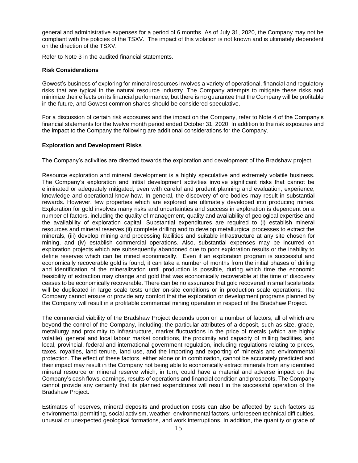general and administrative expenses for a period of 6 months. As of July 31, 2020, the Company may not be compliant with the policies of the TSXV. The impact of this violation is not known and is ultimately dependent on the direction of the TSXV.

Refer to Note 3 in the audited financial statements.

#### **Risk Considerations**

Gowest's business of exploring for mineral resources involves a variety of operational, financial and regulatory risks that are typical in the natural resource industry. The Company attempts to mitigate these risks and minimize their effects on its financial performance, but there is no guarantee that the Company will be profitable in the future, and Gowest common shares should be considered speculative.

For a discussion of certain risk exposures and the impact on the Company, refer to Note 4 of the Company's financial statements for the twelve month period ended October 31, 2020. In addition to the risk exposures and the impact to the Company the following are additional considerations for the Company.

#### **Exploration and Development Risks**

The Company's activities are directed towards the exploration and development of the Bradshaw project.

Resource exploration and mineral development is a highly speculative and extremely volatile business. The Company's exploration and initial development activities involve significant risks that cannot be eliminated or adequately mitigated, even with careful and prudent planning and evaluation, experience, knowledge and operational know-how. In general, the discovery of ore bodies may result in substantial rewards. However, few properties which are explored are ultimately developed into producing mines. Exploration for gold involves many risks and uncertainties and success in exploration is dependent on a number of factors, including the quality of management, quality and availability of geological expertise and the availability of exploration capital. Substantial expenditures are required to (i) establish mineral resources and mineral reserves (ii) complete drilling and to develop metallurgical processes to extract the minerals, (iii) develop mining and processing facilities and suitable infrastructure at any site chosen for mining, and (iv) establish commercial operations. Also, substantial expenses may be incurred on exploration projects which are subsequently abandoned due to poor exploration results or the inability to define reserves which can be mined economically. Even if an exploration program is successful and economically recoverable gold is found, it can take a number of months from the initial phases of drilling and identification of the mineralization until production is possible, during which time the economic feasibility of extraction may change and gold that was economically recoverable at the time of discovery ceases to be economically recoverable. There can be no assurance that gold recovered in small scale tests will be duplicated in large scale tests under on-site conditions or in production scale operations. The Company cannot ensure or provide any comfort that the exploration or development programs planned by the Company will result in a profitable commercial mining operation in respect of the Bradshaw Project.

The commercial viability of the Bradshaw Project depends upon on a number of factors, all of which are beyond the control of the Company, including: the particular attributes of a deposit, such as size, grade, metallurgy and proximity to infrastructure, market fluctuations in the price of metals (which are highly volatile), general and local labour market conditions, the proximity and capacity of milling facilities, and local, provincial, federal and international government regulation, including regulations relating to prices, taxes, royalties, land tenure, land use, and the importing and exporting of minerals and environmental protection. The effect of these factors, either alone or in combination, cannot be accurately predicted and their impact may result in the Company not being able to economically extract minerals from any identified mineral resource or mineral reserve which, in turn, could have a material and adverse impact on the Company's cash flows, earnings, results of operations and financial condition and prospects. The Company cannot provide any certainty that its planned expenditures will result in the successful operation of the Bradshaw Project.

Estimates of reserves, mineral deposits and production costs can also be affected by such factors as environmental permitting, social activism, weather, environmental factors, unforeseen technical difficulties, unusual or unexpected geological formations, and work interruptions. In addition, the quantity or grade of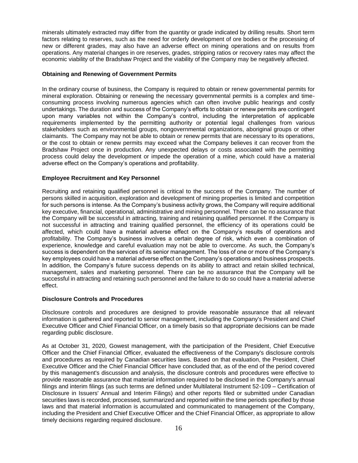minerals ultimately extracted may differ from the quantity or grade indicated by drilling results. Short term factors relating to reserves, such as the need for orderly development of ore bodies or the processing of new or different grades, may also have an adverse effect on mining operations and on results from operations. Any material changes in ore reserves, grades, stripping ratios or recovery rates may affect the economic viability of the Bradshaw Project and the viability of the Company may be negatively affected.

## **Obtaining and Renewing of Government Permits**

In the ordinary course of business, the Company is required to obtain or renew governmental permits for mineral exploration. Obtaining or renewing the necessary governmental permits is a complex and timeconsuming process involving numerous agencies which can often involve public hearings and costly undertakings. The duration and success of the Company's efforts to obtain or renew permits are contingent upon many variables not within the Company's control, including the interpretation of applicable requirements implemented by the permitting authority or potential legal challenges from various stakeholders such as environmental groups, nongovernmental organizations, aboriginal groups or other claimants. The Company may not be able to obtain or renew permits that are necessary to its operations, or the cost to obtain or renew permits may exceed what the Company believes it can recover from the Bradshaw Project once in production. Any unexpected delays or costs associated with the permitting process could delay the development or impede the operation of a mine, which could have a material adverse effect on the Company's operations and profitability.

## **Employee Recruitment and Key Personnel**

Recruiting and retaining qualified personnel is critical to the success of the Company. The number of persons skilled in acquisition, exploration and development of mining properties is limited and competition for such persons is intense. As the Company's business activity grows, the Company will require additional key executive, financial, operational, administrative and mining personnel. There can be no assurance that the Company will be successful in attracting, training and retaining qualified personnel. If the Company is not successful in attracting and training qualified personnel, the efficiency of its operations could be affected, which could have a material adverse effect on the Company's results of operations and profitability. The Company's business involves a certain degree of risk, which even a combination of experience, knowledge and careful evaluation may not be able to overcome. As such, the Company's success is dependent on the services of its senior management. The loss of one or more of the Company's key employees could have a material adverse effect on the Company's operations and business prospects. In addition, the Company's future success depends on its ability to attract and retain skilled technical, management, sales and marketing personnel. There can be no assurance that the Company will be successful in attracting and retaining such personnel and the failure to do so could have a material adverse effect.

## **Disclosure Controls and Procedures**

Disclosure controls and procedures are designed to provide reasonable assurance that all relevant information is gathered and reported to senior management, including the Company's President and Chief Executive Officer and Chief Financial Officer, on a timely basis so that appropriate decisions can be made regarding public disclosure.

As at October 31, 2020, Gowest management, with the participation of the President, Chief Executive Officer and the Chief Financial Officer, evaluated the effectiveness of the Company's disclosure controls and procedures as required by Canadian securities laws. Based on that evaluation, the President, Chief Executive Officer and the Chief Financial Officer have concluded that, as of the end of the period covered by this management's discussion and analysis, the disclosure controls and procedures were effective to provide reasonable assurance that material information required to be disclosed in the Company's annual filings and interim filings (as such terms are defined under Multilateral Instrument 52-109 – Certification of Disclosure in Issuers' Annual and Interim Filings) and other reports filed or submitted under Canadian securities laws is recorded, processed, summarized and reported within the time periods specified by those laws and that material information is accumulated and communicated to management of the Company, including the President and Chief Executive Officer and the Chief Financial Officer, as appropriate to allow timely decisions regarding required disclosure.